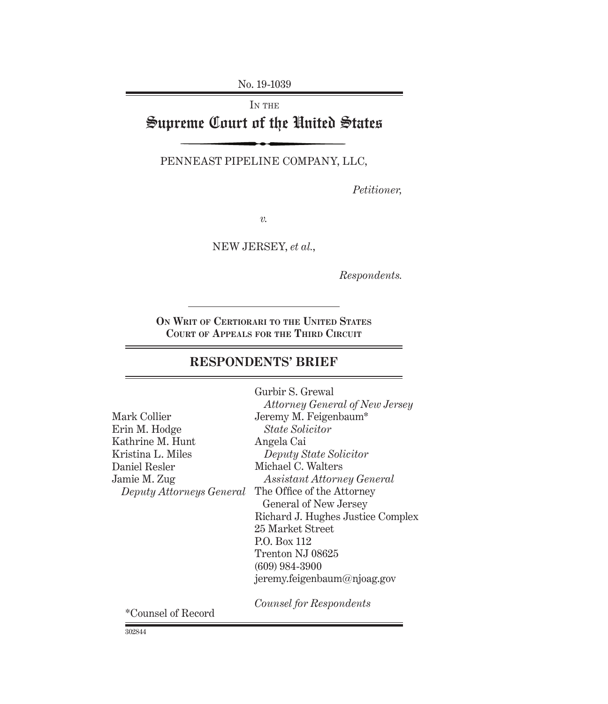No. 19-1039

IN THE

# Supreme Court of the United States

PennEast Pipeline Company, LLC,

*Petitioner,*

*v.*

NEW JERSEY, *et al.*,

*Respondents.*

**On Writ of Certiorari to the United States Court of Appeals for the Third Circuit**

## **RESPONDENTS' BRIEF**

| Gurbir S. Grewal                      |
|---------------------------------------|
| <i>Attorney General of New Jersey</i> |
| Jeremy M. Feigenbaum*                 |
| <i>State Solicitor</i>                |
| Angela Cai                            |
| Deputy State Solicitor                |
| Michael C. Walters                    |
| <i>Assistant Attorney General</i>     |
| The Office of the Attorney            |
| General of New Jersey                 |
| Richard J. Hughes Justice Complex     |
| 25 Market Street                      |
| P.O. Box 112                          |
| Trenton NJ 08625                      |
| $(609)$ 984-3900                      |
| jeremy.feigenbaum@njoag.gov           |
| Counsel for Respondents               |
|                                       |

302844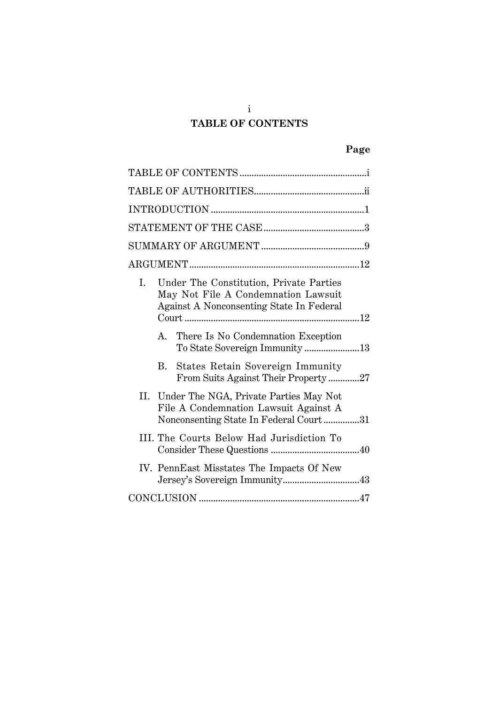# **TABLE OF CONTENTS**

# **Page**

| I. |    | Under The Constitution, Private Parties<br>May Not File A Condemnation Lawsuit<br>Against A Nonconsenting State In Federal    |  |
|----|----|-------------------------------------------------------------------------------------------------------------------------------|--|
|    | A. | There Is No Condemnation Exception<br>To State Sovereign Immunity 13                                                          |  |
|    |    | B. States Retain Sovereign Immunity<br>From Suits Against Their Property27                                                    |  |
|    |    | II. Under The NGA, Private Parties May Not<br>File A Condemnation Lawsuit Against A<br>Nonconsenting State In Federal Court31 |  |
|    |    | III. The Courts Below Had Jurisdiction To                                                                                     |  |
|    |    | IV. PennEast Misstates The Impacts Of New                                                                                     |  |
|    |    |                                                                                                                               |  |

i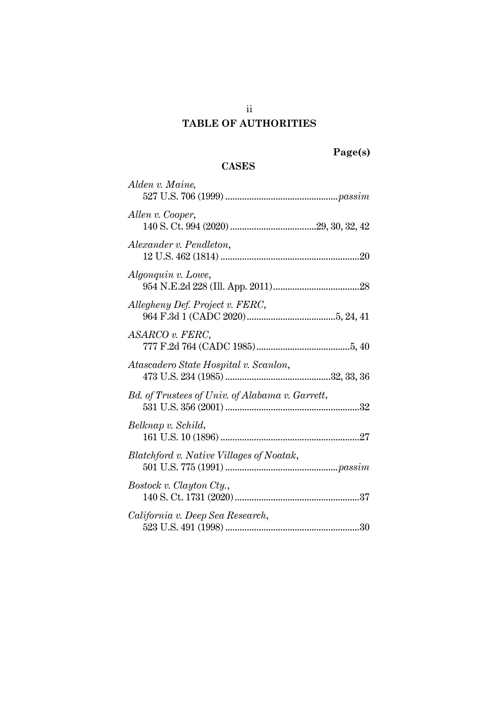## **TABLE OF AUTHORITIES**

# **Page(s)**

### **CASES**

| Alden v. Maine,                                 |
|-------------------------------------------------|
| Allen v. Cooper,                                |
| Alexander v. Pendleton,                         |
| Algonquin v. Lowe,                              |
| Allegheny Def. Project v. FERC,                 |
| ASARCO v. FERC,                                 |
| Atascadero State Hospital v. Scanlon,           |
| Bd. of Trustees of Univ. of Alabama v. Garrett, |
| Belknap v. Schild,                              |
| Blatchford v. Native Villages of Noatak,        |
| Bostock v. Clayton Cty.,                        |
| California v. Deep Sea Research,                |

ii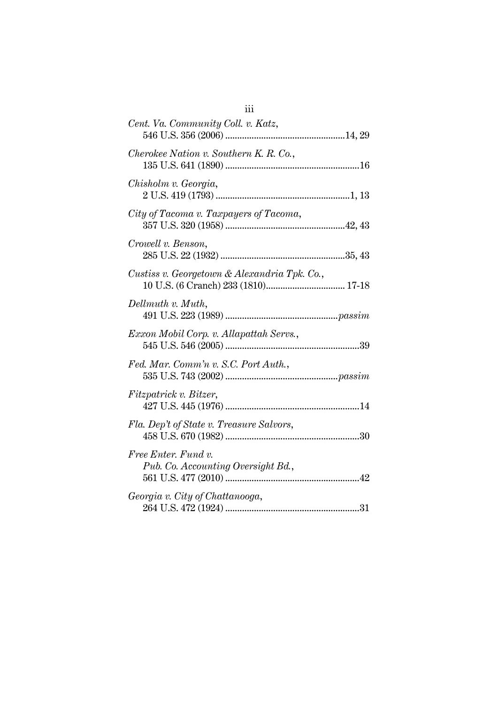| Cent. Va. Community Coll. v. Katz,                        |
|-----------------------------------------------------------|
| Cherokee Nation v. Southern K. R. Co.,                    |
| Chisholm v. Georgia,                                      |
| City of Tacoma v. Taxpayers of Tacoma,                    |
| Crowell v. Benson,                                        |
| Custiss v. Georgetown & Alexandria Tpk. Co.,              |
| Dellmuth v. Muth,                                         |
| Exxon Mobil Corp. v. Allapattah Servs.,                   |
| Fed. Mar. Comm'n v. S.C. Port Auth.,                      |
| Fitzpatrick v. Bitzer,                                    |
| Fla. Dep't of State v. Treasure Salvors,                  |
| Free Enter. Fund v.<br>Pub. Co. Accounting Oversight Bd., |
| Georgia v. City of Chattanooga,                           |

iii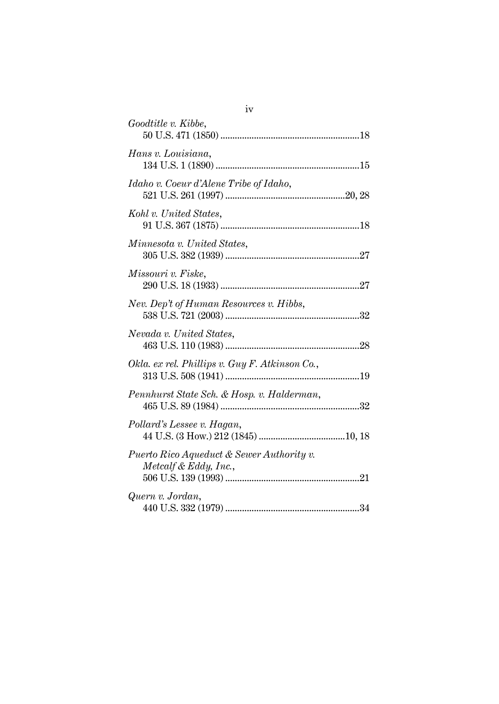| Goodtitle v. Kibbe,                                                |
|--------------------------------------------------------------------|
| Hans v. Louisiana,                                                 |
| Idaho v. Coeur d'Alene Tribe of Idaho,                             |
| Kohl v. United States,                                             |
| Minnesota v. United States,                                        |
| Missouri v. Fiske,                                                 |
| Nev. Dep't of Human Resources v. Hibbs,                            |
| Nevada v. United States,                                           |
| Okla. ex rel. Phillips v. Guy F. Atkinson Co.,                     |
| Pennhurst State Sch. & Hosp. v. Halderman,                         |
| Pollard's Lessee v. Hagan,                                         |
| Puerto Rico Aqueduct & Sewer Authority v.<br>Metcalf & Eddy, Inc., |
| Quern v. Jordan,                                                   |

iv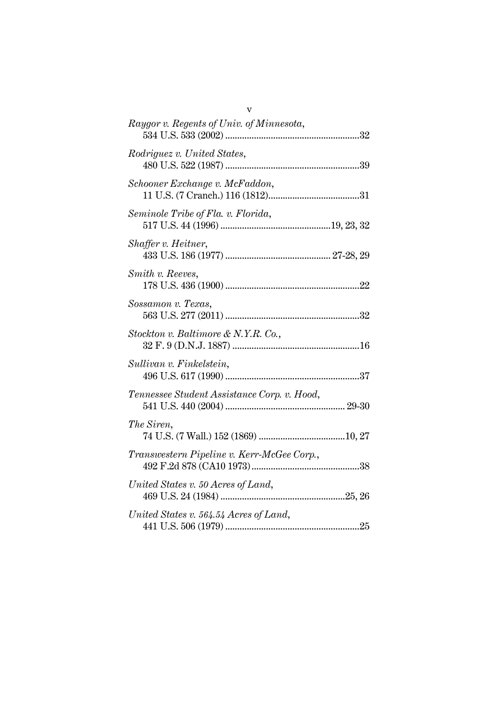| Raygor v. Regents of Univ. of Minnesota,    |
|---------------------------------------------|
| Rodriguez v. United States,                 |
| Schooner Exchange v. McFaddon,              |
| Seminole Tribe of Fla. v. Florida,          |
| Shaffer v. Heitner,                         |
| Smith v. Reeves,                            |
| Sossamon v. Texas,                          |
| Stockton v. Baltimore & N.Y.R. Co.,         |
| Sullivan v. Finkelstein,                    |
| Tennessee Student Assistance Corp. v. Hood, |
| The Siren,                                  |
| Transwestern Pipeline v. Kerr-McGee Corp.,  |
| United States v. 50 Acres of Land,          |
| United States v. 564.54 Acres of Land,      |

v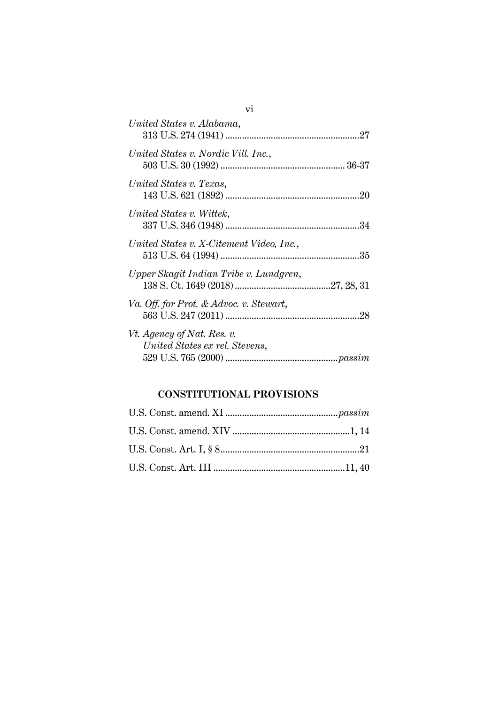| United States v. Alabama,                                    |  |
|--------------------------------------------------------------|--|
| United States v. Nordic Vill. Inc.,                          |  |
| United States v. Texas,                                      |  |
| United States v. Wittek,                                     |  |
| United States v. X-Citement Video, Inc.,                     |  |
| Upper Skagit Indian Tribe v. Lundgren,                       |  |
| Va. Off. for Prot. & Advoc. v. Stewart,                      |  |
| Vt. Agency of Nat. Res. v.<br>United States ex rel. Stevens, |  |

## **CONSTITUTIONAL PROVISIONS**

vi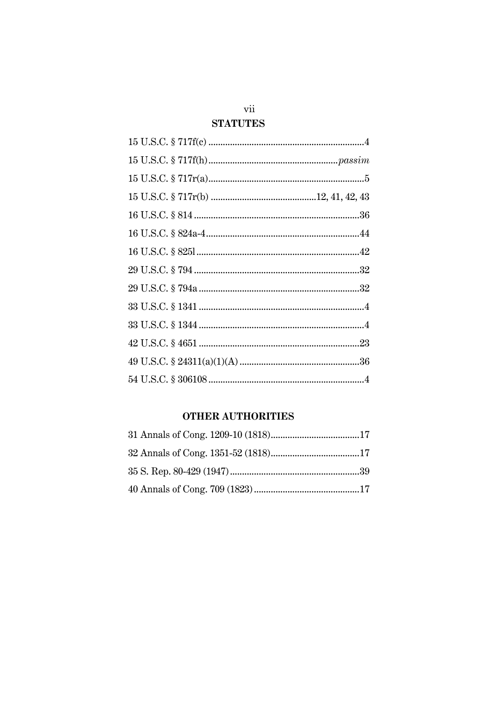## vii

## **STATUTES**

## **OTHER AUTHORITIES**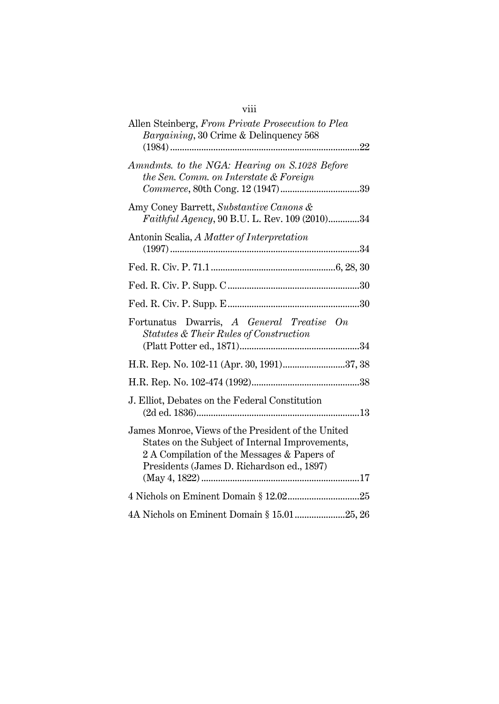# viii

| Allen Steinberg, From Private Prosecution to Plea<br><i>Bargaining</i> , 30 Crime & Delinquency 568                                                                                                |
|----------------------------------------------------------------------------------------------------------------------------------------------------------------------------------------------------|
| Amndmts. to the NGA: Hearing on S.1028 Before<br>the Sen. Comm. on Interstate & Foreign                                                                                                            |
| Amy Coney Barrett, Substantive Canons &<br>Faithful Agency, 90 B.U. L. Rev. 109 (2010)34                                                                                                           |
| Antonin Scalia, A Matter of Interpretation                                                                                                                                                         |
|                                                                                                                                                                                                    |
|                                                                                                                                                                                                    |
|                                                                                                                                                                                                    |
| Fortunatus Dwarris, A General Treatise On<br>Statutes & Their Rules of Construction                                                                                                                |
| H.R. Rep. No. 102-11 (Apr. 30, 1991)37, 38                                                                                                                                                         |
|                                                                                                                                                                                                    |
| J. Elliot, Debates on the Federal Constitution                                                                                                                                                     |
| James Monroe, Views of the President of the United<br>States on the Subject of Internal Improvements,<br>2 A Compilation of the Messages & Papers of<br>Presidents (James D. Richardson ed., 1897) |
| 4 Nichols on Eminent Domain § 12.0225                                                                                                                                                              |
|                                                                                                                                                                                                    |
| 4A Nichols on Eminent Domain § 15.01 25, 26                                                                                                                                                        |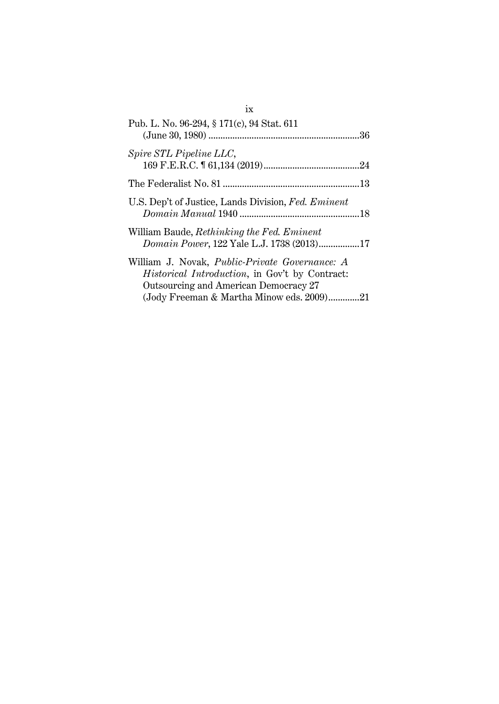| Pub. L. No. 96-294, § 171(c), 94 Stat. 611                                                                                                        |  |
|---------------------------------------------------------------------------------------------------------------------------------------------------|--|
| Spire STL Pipeline LLC,                                                                                                                           |  |
|                                                                                                                                                   |  |
| U.S. Dep't of Justice, Lands Division, Fed. Eminent                                                                                               |  |
| William Baude, Rethinking the Fed. Eminent<br>Domain Power, 122 Yale L.J. 1738 (2013)17                                                           |  |
| William J. Novak, Public-Private Governance: A<br><i>Historical Introduction</i> , in Gov't by Contract:<br>Outsourcing and American Democracy 27 |  |
| (Jody Freeman & Martha Minow eds. 2009)21                                                                                                         |  |

ix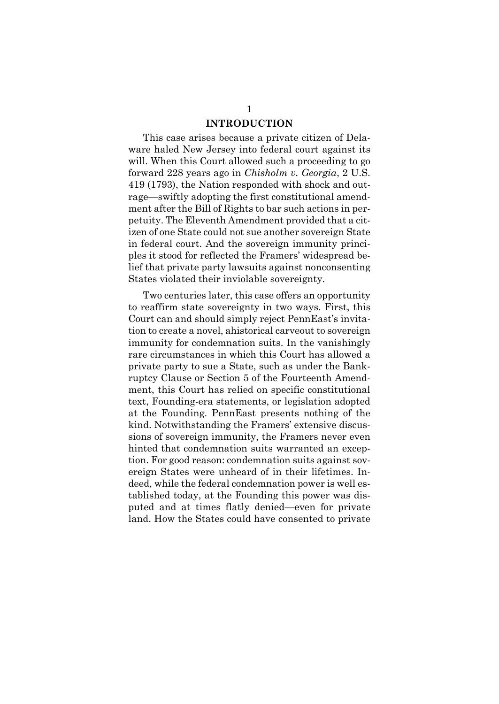#### **INTRODUCTION**

This case arises because a private citizen of Delaware haled New Jersey into federal court against its will. When this Court allowed such a proceeding to go forward 228 years ago in *Chisholm v. Georgia*, 2 U.S. 419 (1793), the Nation responded with shock and outrage—swiftly adopting the first constitutional amendment after the Bill of Rights to bar such actions in perpetuity. The Eleventh Amendment provided that a citizen of one State could not sue another sovereign State in federal court. And the sovereign immunity principles it stood for reflected the Framers' widespread belief that private party lawsuits against nonconsenting States violated their inviolable sovereignty.

Two centuries later, this case offers an opportunity to reaffirm state sovereignty in two ways. First, this Court can and should simply reject PennEast's invitation to create a novel, ahistorical carveout to sovereign immunity for condemnation suits. In the vanishingly rare circumstances in which this Court has allowed a private party to sue a State, such as under the Bankruptcy Clause or Section 5 of the Fourteenth Amendment, this Court has relied on specific constitutional text, Founding-era statements, or legislation adopted at the Founding. PennEast presents nothing of the kind. Notwithstanding the Framers' extensive discussions of sovereign immunity, the Framers never even hinted that condemnation suits warranted an exception. For good reason: condemnation suits against sovereign States were unheard of in their lifetimes. Indeed, while the federal condemnation power is well established today, at the Founding this power was disputed and at times flatly denied—even for private land. How the States could have consented to private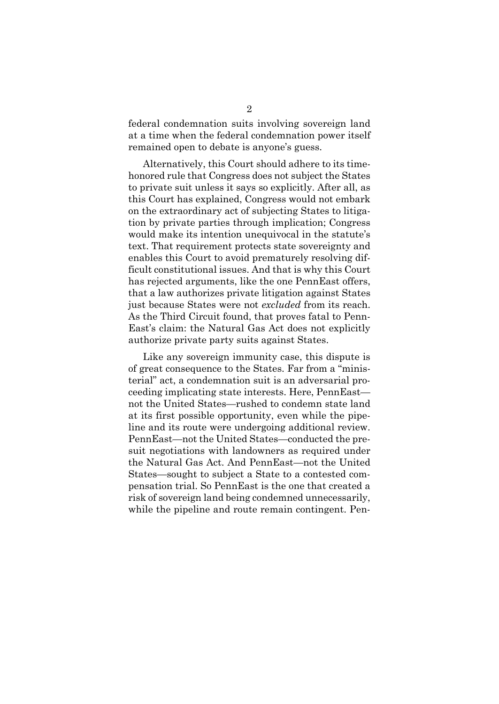federal condemnation suits involving sovereign land at a time when the federal condemnation power itself remained open to debate is anyone's guess.

Alternatively, this Court should adhere to its timehonored rule that Congress does not subject the States to private suit unless it says so explicitly. After all, as this Court has explained, Congress would not embark on the extraordinary act of subjecting States to litigation by private parties through implication; Congress would make its intention unequivocal in the statute's text. That requirement protects state sovereignty and enables this Court to avoid prematurely resolving difficult constitutional issues. And that is why this Court has rejected arguments, like the one PennEast offers, that a law authorizes private litigation against States just because States were not *excluded* from its reach. As the Third Circuit found, that proves fatal to Penn-East's claim: the Natural Gas Act does not explicitly authorize private party suits against States.

Like any sovereign immunity case, this dispute is of great consequence to the States. Far from a "ministerial" act, a condemnation suit is an adversarial proceeding implicating state interests. Here, PennEast not the United States—rushed to condemn state land at its first possible opportunity, even while the pipeline and its route were undergoing additional review. PennEast—not the United States—conducted the presuit negotiations with landowners as required under the Natural Gas Act. And PennEast—not the United States—sought to subject a State to a contested compensation trial. So PennEast is the one that created a risk of sovereign land being condemned unnecessarily, while the pipeline and route remain contingent. Pen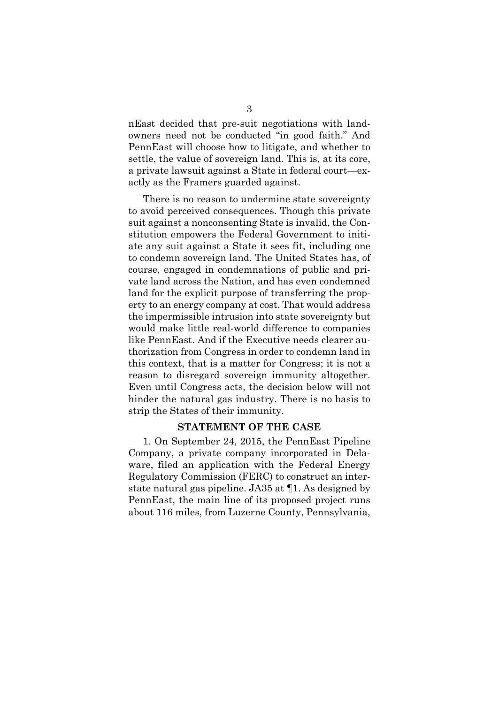nEast decided that pre-suit negotiations with landowners need not be conducted "in good faith." And PennEast will choose how to litigate, and whether to settle, the value of sovereign land. This is, at its core, a private lawsuit against a State in federal court—exactly as the Framers guarded against.

There is no reason to undermine state sovereignty to avoid perceived consequences. Though this private suit against a nonconsenting State is invalid, the Constitution empowers the Federal Government to initiate any suit against a State it sees fit, including one to condemn sovereign land. The United States has, of course, engaged in condemnations of public and private land across the Nation, and has even condemned land for the explicit purpose of transferring the property to an energy company at cost. That would address the impermissible intrusion into state sovereignty but would make little real-world difference to companies like PennEast. And if the Executive needs clearer authorization from Congress in order to condemn land in this context, that is a matter for Congress; it is not a reason to disregard sovereign immunity altogether. Even until Congress acts, the decision below will not hinder the natural gas industry. There is no basis to strip the States of their immunity.

#### **STATEMENT OF THE CASE**

1. On September 24, 2015, the PennEast Pipeline Company, a private company incorporated in Delaware, filed an application with the Federal Energy Regulatory Commission (FERC) to construct an interstate natural gas pipeline. JA35 at ¶1. As designed by PennEast, the main line of its proposed project runs about 116 miles, from Luzerne County, Pennsylvania,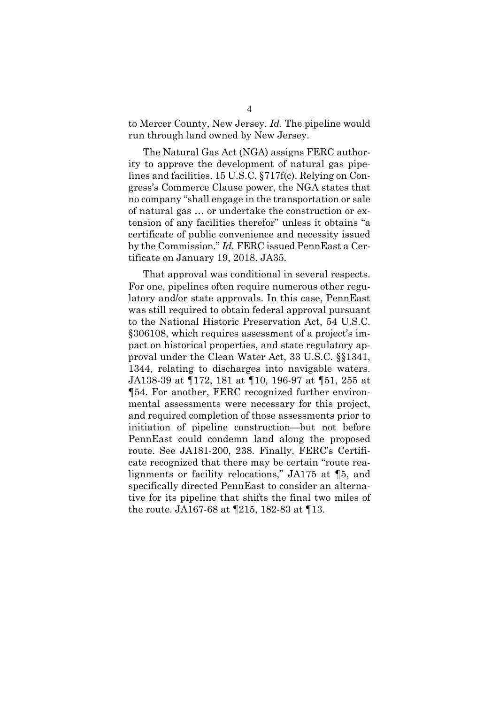to Mercer County, New Jersey. *Id.* The pipeline would run through land owned by New Jersey.

The Natural Gas Act (NGA) assigns FERC authority to approve the development of natural gas pipelines and facilities. 15 U.S.C. §717f(c). Relying on Congress's Commerce Clause power, the NGA states that no company "shall engage in the transportation or sale of natural gas … or undertake the construction or extension of any facilities therefor" unless it obtains "a certificate of public convenience and necessity issued by the Commission." *Id.* FERC issued PennEast a Certificate on January 19, 2018. JA35.

That approval was conditional in several respects. For one, pipelines often require numerous other regulatory and/or state approvals. In this case, PennEast was still required to obtain federal approval pursuant to the National Historic Preservation Act, 54 U.S.C. §306108, which requires assessment of a project's impact on historical properties, and state regulatory approval under the Clean Water Act, 33 U.S.C. §§1341, 1344, relating to discharges into navigable waters. JA138-39 at ¶172, 181 at ¶10, 196-97 at ¶51, 255 at ¶54. For another, FERC recognized further environmental assessments were necessary for this project, and required completion of those assessments prior to initiation of pipeline construction—but not before PennEast could condemn land along the proposed route. See JA181-200, 238. Finally, FERC's Certificate recognized that there may be certain "route realignments or facility relocations," JA175 at ¶5, and specifically directed PennEast to consider an alternative for its pipeline that shifts the final two miles of the route. JA167-68 at ¶215, 182-83 at ¶13.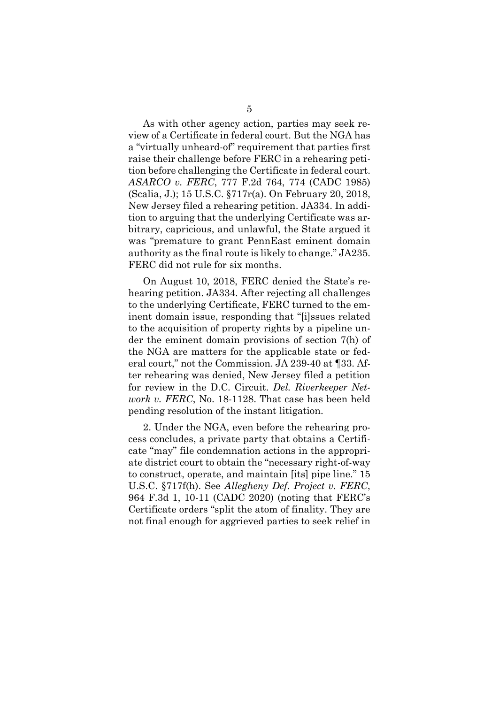As with other agency action, parties may seek review of a Certificate in federal court. But the NGA has a "virtually unheard-of" requirement that parties first raise their challenge before FERC in a rehearing petition before challenging the Certificate in federal court.

*ASARCO v. FERC*, 777 F.2d 764, 774 (CADC 1985) (Scalia, J.); 15 U.S.C. §717r(a). On February 20, 2018, New Jersey filed a rehearing petition. JA334. In addition to arguing that the underlying Certificate was arbitrary, capricious, and unlawful, the State argued it was "premature to grant PennEast eminent domain authority as the final route is likely to change." JA235. FERC did not rule for six months.

On August 10, 2018, FERC denied the State's rehearing petition. JA334. After rejecting all challenges to the underlying Certificate, FERC turned to the eminent domain issue, responding that "[i]ssues related to the acquisition of property rights by a pipeline under the eminent domain provisions of section 7(h) of the NGA are matters for the applicable state or federal court," not the Commission. JA 239-40 at ¶33. After rehearing was denied, New Jersey filed a petition for review in the D.C. Circuit. *Del. Riverkeeper Network v. FERC*, No. 18-1128. That case has been held pending resolution of the instant litigation.

2. Under the NGA, even before the rehearing process concludes, a private party that obtains a Certificate "may" file condemnation actions in the appropriate district court to obtain the "necessary right-of-way to construct, operate, and maintain [its] pipe line." 15 U.S.C. §717f(h). See *Allegheny Def. Project v. FERC*, 964 F.3d 1, 10-11 (CADC 2020) (noting that FERC's Certificate orders "split the atom of finality. They are not final enough for aggrieved parties to seek relief in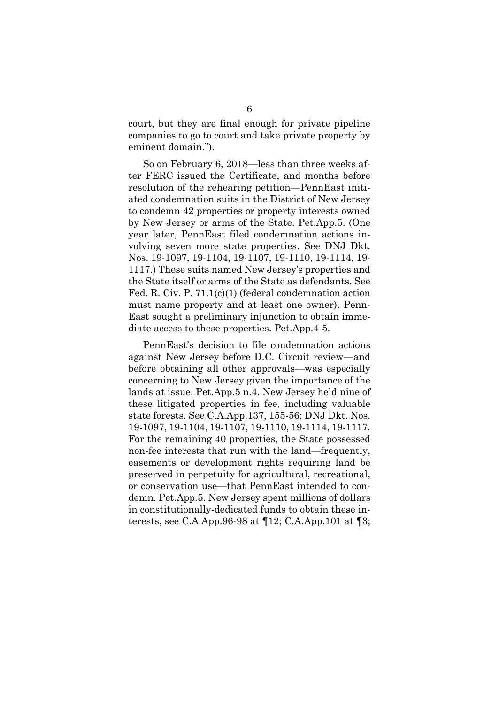court, but they are final enough for private pipeline companies to go to court and take private property by eminent domain.").

So on February 6, 2018—less than three weeks after FERC issued the Certificate, and months before resolution of the rehearing petition—PennEast initiated condemnation suits in the District of New Jersey to condemn 42 properties or property interests owned by New Jersey or arms of the State. Pet.App.5. (One year later, PennEast filed condemnation actions involving seven more state properties. See DNJ Dkt. Nos. 19-1097, 19-1104, 19-1107, 19-1110, 19-1114, 19- 1117.) These suits named New Jersey's properties and the State itself or arms of the State as defendants. See Fed. R. Civ. P. 71.1(c)(1) (federal condemnation action must name property and at least one owner). Penn-East sought a preliminary injunction to obtain immediate access to these properties. Pet.App.4-5.

PennEast's decision to file condemnation actions against New Jersey before D.C. Circuit review—and before obtaining all other approvals—was especially concerning to New Jersey given the importance of the lands at issue. Pet.App.5 n.4. New Jersey held nine of these litigated properties in fee, including valuable state forests. See C.A.App.137, 155-56; DNJ Dkt. Nos. 19-1097, 19-1104, 19-1107, 19-1110, 19-1114, 19-1117. For the remaining 40 properties, the State possessed non-fee interests that run with the land—frequently, easements or development rights requiring land be preserved in perpetuity for agricultural, recreational, or conservation use—that PennEast intended to condemn. Pet.App.5. New Jersey spent millions of dollars in constitutionally-dedicated funds to obtain these interests, see C.A.App.96-98 at ¶12; C.A.App.101 at ¶3;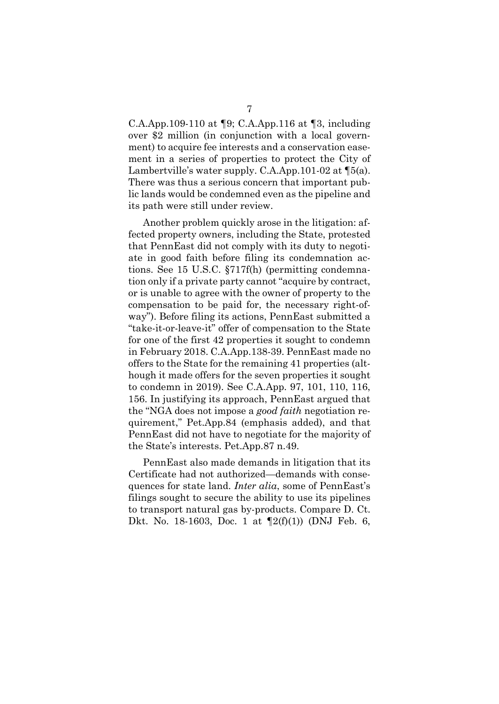C.A.App.109-110 at ¶9; C.A.App.116 at ¶3, including over \$2 million (in conjunction with a local government) to acquire fee interests and a conservation easement in a series of properties to protect the City of Lambertville's water supply. C.A.App.101-02 at ¶5(a). There was thus a serious concern that important public lands would be condemned even as the pipeline and its path were still under review.

Another problem quickly arose in the litigation: affected property owners, including the State, protested that PennEast did not comply with its duty to negotiate in good faith before filing its condemnation actions. See 15 U.S.C. §717f(h) (permitting condemnation only if a private party cannot "acquire by contract, or is unable to agree with the owner of property to the compensation to be paid for, the necessary right-ofway"). Before filing its actions, PennEast submitted a "take-it-or-leave-it" offer of compensation to the State for one of the first 42 properties it sought to condemn in February 2018. C.A.App.138-39. PennEast made no offers to the State for the remaining 41 properties (although it made offers for the seven properties it sought to condemn in 2019). See C.A.App. 97, 101, 110, 116, 156. In justifying its approach, PennEast argued that the "NGA does not impose a *good faith* negotiation requirement," Pet.App.84 (emphasis added), and that PennEast did not have to negotiate for the majority of the State's interests. Pet.App.87 n.49.

PennEast also made demands in litigation that its Certificate had not authorized—demands with consequences for state land. *Inter alia*, some of PennEast's filings sought to secure the ability to use its pipelines to transport natural gas by-products. Compare D. Ct. Dkt. No. 18-1603, Doc. 1 at  $\P2(f)(1)$  (DNJ Feb. 6,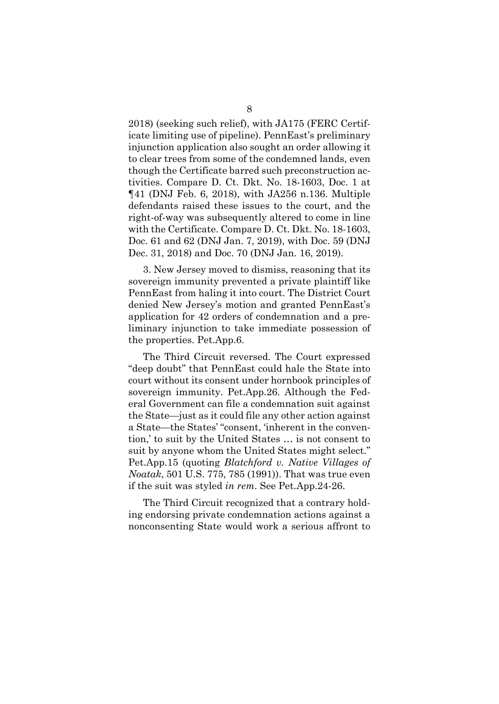2018) (seeking such relief), with JA175 (FERC Certificate limiting use of pipeline). PennEast's preliminary injunction application also sought an order allowing it to clear trees from some of the condemned lands, even though the Certificate barred such preconstruction activities. Compare D. Ct. Dkt. No. 18-1603, Doc. 1 at ¶41 (DNJ Feb. 6, 2018), with JA256 n.136. Multiple defendants raised these issues to the court, and the right-of-way was subsequently altered to come in line with the Certificate. Compare D. Ct. Dkt. No. 18-1603, Doc. 61 and 62 (DNJ Jan. 7, 2019), with Doc. 59 (DNJ Dec. 31, 2018) and Doc. 70 (DNJ Jan. 16, 2019).

3. New Jersey moved to dismiss, reasoning that its sovereign immunity prevented a private plaintiff like PennEast from haling it into court. The District Court denied New Jersey's motion and granted PennEast's application for 42 orders of condemnation and a preliminary injunction to take immediate possession of the properties. Pet.App.6.

The Third Circuit reversed. The Court expressed "deep doubt" that PennEast could hale the State into court without its consent under hornbook principles of sovereign immunity. Pet.App.26. Although the Federal Government can file a condemnation suit against the State—just as it could file any other action against a State—the States' "consent, 'inherent in the convention,' to suit by the United States … is not consent to suit by anyone whom the United States might select." Pet.App.15 (quoting *Blatchford v. Native Villages of Noatak*, 501 U.S. 775, 785 (1991)). That was true even if the suit was styled *in rem*. See Pet.App.24-26.

The Third Circuit recognized that a contrary holding endorsing private condemnation actions against a nonconsenting State would work a serious affront to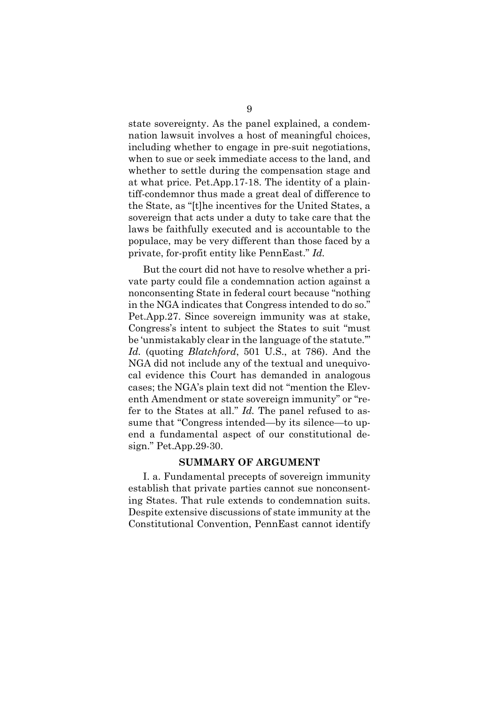state sovereignty. As the panel explained, a condemnation lawsuit involves a host of meaningful choices, including whether to engage in pre-suit negotiations, when to sue or seek immediate access to the land, and whether to settle during the compensation stage and at what price. Pet.App.17-18. The identity of a plaintiff-condemnor thus made a great deal of difference to the State, as "[t]he incentives for the United States, a sovereign that acts under a duty to take care that the laws be faithfully executed and is accountable to the populace, may be very different than those faced by a private, for-profit entity like PennEast." *Id.*

But the court did not have to resolve whether a private party could file a condemnation action against a nonconsenting State in federal court because "nothing in the NGA indicates that Congress intended to do so." Pet.App.27. Since sovereign immunity was at stake, Congress's intent to subject the States to suit "must be 'unmistakably clear in the language of the statute.'" *Id.* (quoting *Blatchford*, 501 U.S., at 786). And the NGA did not include any of the textual and unequivocal evidence this Court has demanded in analogous cases; the NGA's plain text did not "mention the Eleventh Amendment or state sovereign immunity" or "refer to the States at all." *Id.* The panel refused to assume that "Congress intended—by its silence—to upend a fundamental aspect of our constitutional design." Pet.App.29-30.

#### **SUMMARY OF ARGUMENT**

I. a. Fundamental precepts of sovereign immunity establish that private parties cannot sue nonconsenting States. That rule extends to condemnation suits. Despite extensive discussions of state immunity at the Constitutional Convention, PennEast cannot identify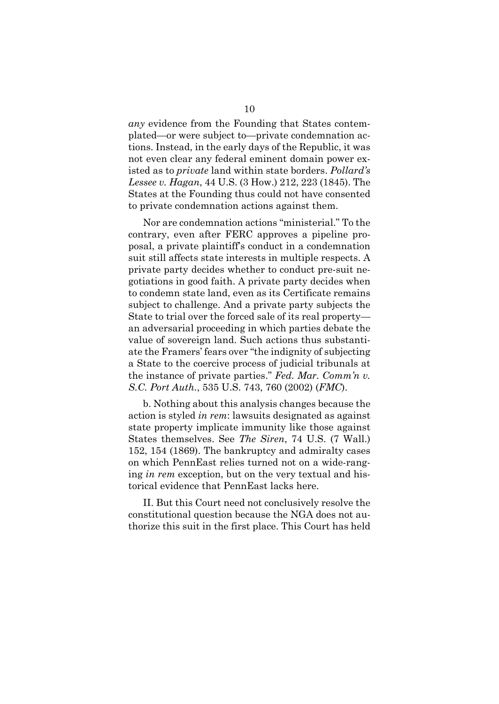*any* evidence from the Founding that States contemplated—or were subject to—private condemnation actions. Instead, in the early days of the Republic, it was not even clear any federal eminent domain power existed as to *private* land within state borders. *Pollard's Lessee v. Hagan*, 44 U.S. (3 How.) 212, 223 (1845). The States at the Founding thus could not have consented to private condemnation actions against them.

Nor are condemnation actions "ministerial." To the contrary, even after FERC approves a pipeline proposal, a private plaintiff's conduct in a condemnation suit still affects state interests in multiple respects. A private party decides whether to conduct pre-suit negotiations in good faith. A private party decides when to condemn state land, even as its Certificate remains subject to challenge. And a private party subjects the State to trial over the forced sale of its real property an adversarial proceeding in which parties debate the value of sovereign land. Such actions thus substantiate the Framers' fears over "the indignity of subjecting a State to the coercive process of judicial tribunals at the instance of private parties." *Fed. Mar. Comm'n v. S.C. Port Auth.*, 535 U.S. 743, 760 (2002) (*FMC*).

b. Nothing about this analysis changes because the action is styled *in rem*: lawsuits designated as against state property implicate immunity like those against States themselves. See *The Siren*, 74 U.S. (7 Wall.) 152, 154 (1869). The bankruptcy and admiralty cases on which PennEast relies turned not on a wide-ranging *in rem* exception, but on the very textual and historical evidence that PennEast lacks here.

II. But this Court need not conclusively resolve the constitutional question because the NGA does not authorize this suit in the first place. This Court has held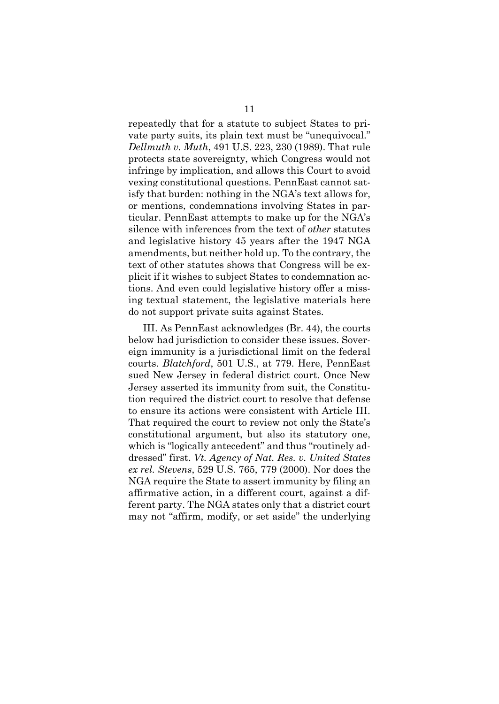repeatedly that for a statute to subject States to private party suits, its plain text must be "unequivocal." *Dellmuth v. Muth*, 491 U.S. 223, 230 (1989). That rule protects state sovereignty, which Congress would not infringe by implication, and allows this Court to avoid vexing constitutional questions. PennEast cannot satisfy that burden: nothing in the NGA's text allows for, or mentions, condemnations involving States in particular. PennEast attempts to make up for the NGA's silence with inferences from the text of *other* statutes and legislative history 45 years after the 1947 NGA amendments, but neither hold up. To the contrary, the text of other statutes shows that Congress will be explicit if it wishes to subject States to condemnation actions. And even could legislative history offer a missing textual statement, the legislative materials here do not support private suits against States.

III. As PennEast acknowledges (Br. 44), the courts below had jurisdiction to consider these issues. Sovereign immunity is a jurisdictional limit on the federal courts. *Blatchford*, 501 U.S., at 779. Here, PennEast sued New Jersey in federal district court. Once New Jersey asserted its immunity from suit, the Constitution required the district court to resolve that defense to ensure its actions were consistent with Article III. That required the court to review not only the State's constitutional argument, but also its statutory one, which is "logically antecedent" and thus "routinely addressed" first. *Vt. Agency of Nat. Res. v. United States ex rel. Stevens*, 529 U.S. 765, 779 (2000). Nor does the NGA require the State to assert immunity by filing an affirmative action, in a different court, against a different party. The NGA states only that a district court may not "affirm, modify, or set aside" the underlying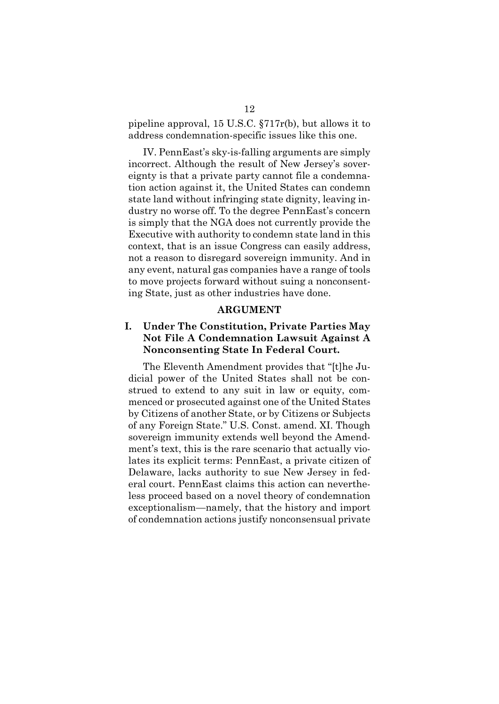pipeline approval, 15 U.S.C. §717r(b), but allows it to address condemnation-specific issues like this one.

IV. PennEast's sky-is-falling arguments are simply incorrect. Although the result of New Jersey's sovereignty is that a private party cannot file a condemnation action against it, the United States can condemn state land without infringing state dignity, leaving industry no worse off. To the degree PennEast's concern is simply that the NGA does not currently provide the Executive with authority to condemn state land in this context, that is an issue Congress can easily address, not a reason to disregard sovereign immunity. And in any event, natural gas companies have a range of tools to move projects forward without suing a nonconsenting State, just as other industries have done.

#### **ARGUMENT**

### **I. Under The Constitution, Private Parties May Not File A Condemnation Lawsuit Against A Nonconsenting State In Federal Court.**

The Eleventh Amendment provides that "[t]he Judicial power of the United States shall not be construed to extend to any suit in law or equity, commenced or prosecuted against one of the United States by Citizens of another State, or by Citizens or Subjects of any Foreign State." U.S. Const. amend. XI. Though sovereign immunity extends well beyond the Amendment's text, this is the rare scenario that actually violates its explicit terms: PennEast, a private citizen of Delaware, lacks authority to sue New Jersey in federal court. PennEast claims this action can nevertheless proceed based on a novel theory of condemnation exceptionalism—namely, that the history and import of condemnation actions justify nonconsensual private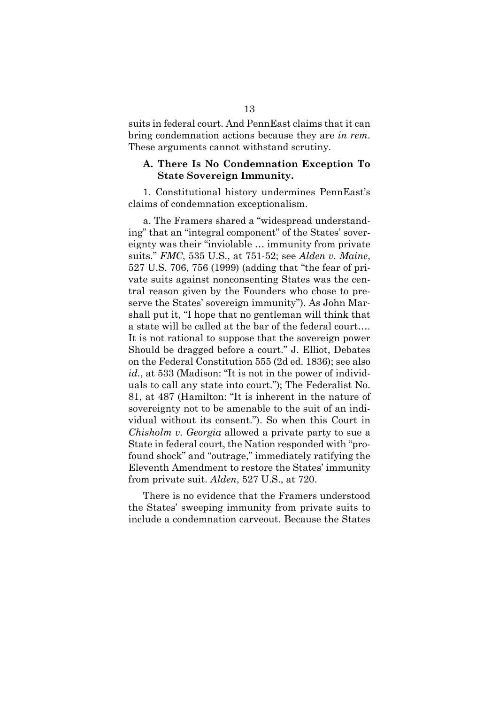suits in federal court. And PennEast claims that it can bring condemnation actions because they are *in rem*. These arguments cannot withstand scrutiny.

#### **A. There Is No Condemnation Exception To State Sovereign Immunity.**

1. Constitutional history undermines PennEast's claims of condemnation exceptionalism.

a. The Framers shared a "widespread understanding" that an "integral component" of the States' sovereignty was their "inviolable … immunity from private suits." *FMC*, 535 U.S., at 751-52; see *Alden v. Maine*, 527 U.S. 706, 756 (1999) (adding that "the fear of private suits against nonconsenting States was the central reason given by the Founders who chose to preserve the States' sovereign immunity"). As John Marshall put it, "I hope that no gentleman will think that a state will be called at the bar of the federal court…. It is not rational to suppose that the sovereign power Should be dragged before a court." J. Elliot, Debates on the Federal Constitution 555 (2d ed. 1836); see also *id.*, at 533 (Madison: "It is not in the power of individuals to call any state into court."); The Federalist No. 81, at 487 (Hamilton: "It is inherent in the nature of sovereignty not to be amenable to the suit of an individual without its consent."). So when this Court in *Chisholm v. Georgia* allowed a private party to sue a State in federal court, the Nation responded with "profound shock" and "outrage," immediately ratifying the Eleventh Amendment to restore the States' immunity from private suit. *Alden*, 527 U.S., at 720.

There is no evidence that the Framers understood the States' sweeping immunity from private suits to include a condemnation carveout. Because the States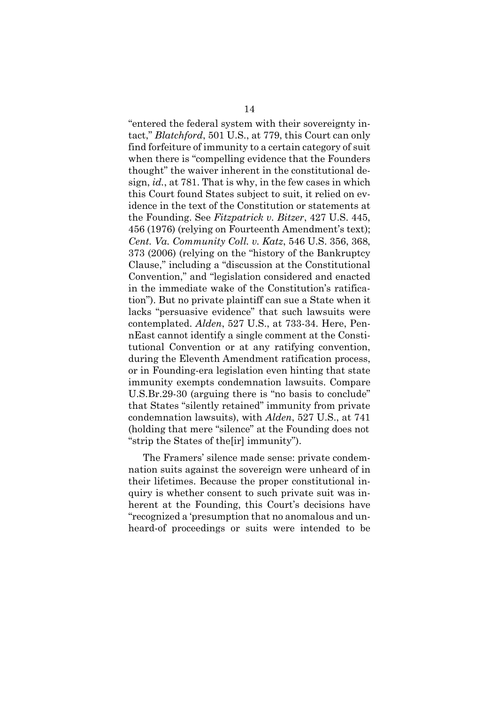"entered the federal system with their sovereignty intact," *Blatchford*, 501 U.S., at 779, this Court can only find forfeiture of immunity to a certain category of suit when there is "compelling evidence that the Founders thought" the waiver inherent in the constitutional design, *id.*, at 781. That is why, in the few cases in which this Court found States subject to suit, it relied on evidence in the text of the Constitution or statements at the Founding. See *Fitzpatrick v. Bitzer*, 427 U.S. 445, 456 (1976) (relying on Fourteenth Amendment's text); *Cent. Va. Community Coll. v. Katz*, 546 U.S. 356, 368, 373 (2006) (relying on the "history of the Bankruptcy Clause," including a "discussion at the Constitutional Convention," and "legislation considered and enacted in the immediate wake of the Constitution's ratification"). But no private plaintiff can sue a State when it lacks "persuasive evidence" that such lawsuits were contemplated. *Alden*, 527 U.S., at 733-34. Here, PennEast cannot identify a single comment at the Constitutional Convention or at any ratifying convention, during the Eleventh Amendment ratification process, or in Founding-era legislation even hinting that state immunity exempts condemnation lawsuits. Compare U.S.Br.29-30 (arguing there is "no basis to conclude" that States "silently retained" immunity from private condemnation lawsuits), with *Alden*, 527 U.S., at 741 (holding that mere "silence" at the Founding does not "strip the States of the[ir] immunity").

The Framers' silence made sense: private condemnation suits against the sovereign were unheard of in their lifetimes. Because the proper constitutional inquiry is whether consent to such private suit was inherent at the Founding, this Court's decisions have "recognized a 'presumption that no anomalous and unheard-of proceedings or suits were intended to be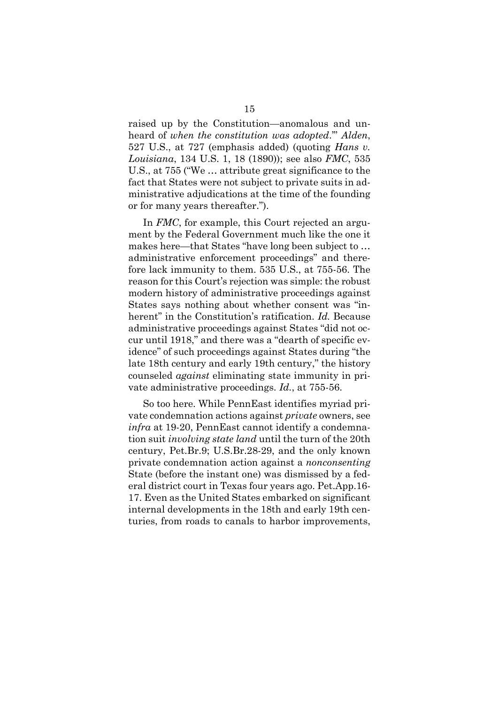raised up by the Constitution—anomalous and unheard of *when the constitution was adopted*.'" *Alden*, 527 U.S., at 727 (emphasis added) (quoting *Hans v. Louisiana*, 134 U.S. 1, 18 (1890)); see also *FMC*, 535 U.S., at 755 ("We … attribute great significance to the fact that States were not subject to private suits in administrative adjudications at the time of the founding or for many years thereafter.").

In *FMC*, for example, this Court rejected an argument by the Federal Government much like the one it makes here—that States "have long been subject to … administrative enforcement proceedings" and therefore lack immunity to them. 535 U.S., at 755-56. The reason for this Court's rejection was simple: the robust modern history of administrative proceedings against States says nothing about whether consent was "inherent" in the Constitution's ratification. *Id.* Because administrative proceedings against States "did not occur until 1918," and there was a "dearth of specific evidence" of such proceedings against States during "the late 18th century and early 19th century," the history counseled *against* eliminating state immunity in private administrative proceedings. *Id.*, at 755-56.

So too here. While PennEast identifies myriad private condemnation actions against *private* owners, see *infra* at 19-20, PennEast cannot identify a condemnation suit *involving state land* until the turn of the 20th century, Pet.Br.9; U.S.Br.28-29, and the only known private condemnation action against a *nonconsenting* State (before the instant one) was dismissed by a federal district court in Texas four years ago. Pet.App.16- 17. Even as the United States embarked on significant internal developments in the 18th and early 19th centuries, from roads to canals to harbor improvements,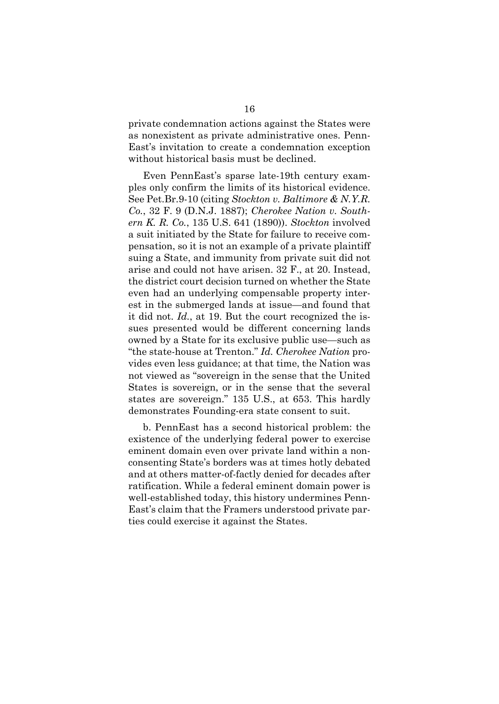private condemnation actions against the States were as nonexistent as private administrative ones. Penn-East's invitation to create a condemnation exception without historical basis must be declined.

Even PennEast's sparse late-19th century examples only confirm the limits of its historical evidence. See Pet.Br.9-10 (citing *Stockton v. Baltimore & N.Y.R. Co.*, 32 F. 9 (D.N.J. 1887); *Cherokee Nation v. Southern K. R. Co.*, 135 U.S. 641 (1890)). *Stockton* involved a suit initiated by the State for failure to receive compensation, so it is not an example of a private plaintiff suing a State, and immunity from private suit did not arise and could not have arisen. 32 F., at 20. Instead, the district court decision turned on whether the State even had an underlying compensable property interest in the submerged lands at issue—and found that it did not. *Id.*, at 19. But the court recognized the issues presented would be different concerning lands owned by a State for its exclusive public use—such as "the state-house at Trenton." *Id. Cherokee Nation* provides even less guidance; at that time, the Nation was not viewed as "sovereign in the sense that the United States is sovereign, or in the sense that the several states are sovereign." 135 U.S., at 653. This hardly demonstrates Founding-era state consent to suit.

b. PennEast has a second historical problem: the existence of the underlying federal power to exercise eminent domain even over private land within a nonconsenting State's borders was at times hotly debated and at others matter-of-factly denied for decades after ratification. While a federal eminent domain power is well-established today, this history undermines Penn-East's claim that the Framers understood private parties could exercise it against the States.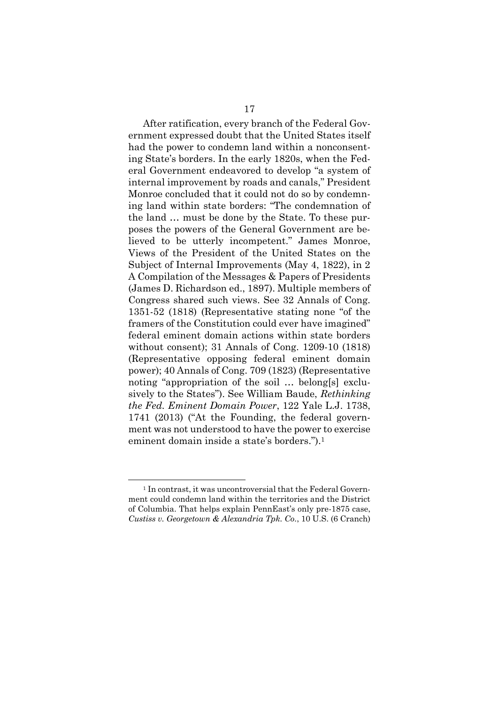After ratification, every branch of the Federal Government expressed doubt that the United States itself had the power to condemn land within a nonconsenting State's borders. In the early 1820s, when the Federal Government endeavored to develop "a system of internal improvement by roads and canals," President Monroe concluded that it could not do so by condemning land within state borders: "The condemnation of the land … must be done by the State. To these purposes the powers of the General Government are believed to be utterly incompetent." James Monroe, Views of the President of the United States on the Subject of Internal Improvements (May 4, 1822), in 2 A Compilation of the Messages & Papers of Presidents (James D. Richardson ed., 1897). Multiple members of Congress shared such views. See 32 Annals of Cong. 1351-52 (1818) (Representative stating none "of the framers of the Constitution could ever have imagined" federal eminent domain actions within state borders without consent); 31 Annals of Cong. 1209-10 (1818) (Representative opposing federal eminent domain power); 40 Annals of Cong. 709 (1823) (Representative noting "appropriation of the soil … belong[s] exclusively to the States"). See William Baude, *Rethinking the Fed. Eminent Domain Power*, 122 Yale L.J. 1738, 1741 (2013) ("At the Founding, the federal government was not understood to have the power to exercise eminent domain inside a state's borders.").<sup>1</sup>

<sup>&</sup>lt;sup>1</sup> In contrast, it was uncontroversial that the Federal Government could condemn land within the territories and the District of Columbia. That helps explain PennEast's only pre-1875 case, *Custiss v. Georgetown & Alexandria Tpk. Co.*, 10 U.S. (6 Cranch)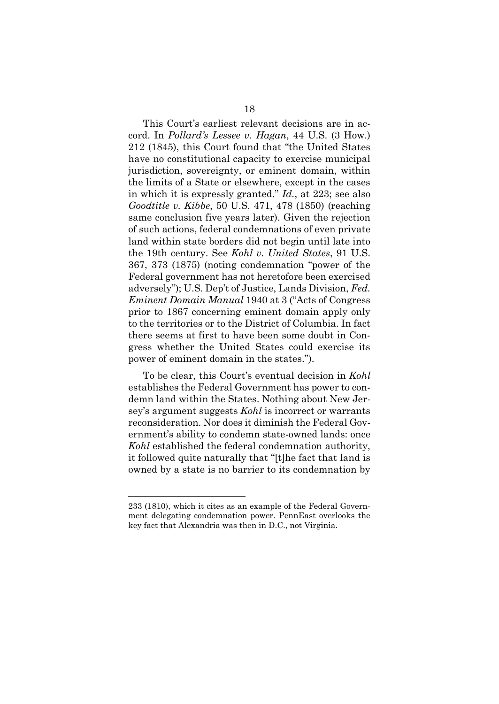This Court's earliest relevant decisions are in accord. In *Pollard's Lessee v. Hagan*, 44 U.S. (3 How.) 212 (1845), this Court found that "the United States have no constitutional capacity to exercise municipal jurisdiction, sovereignty, or eminent domain, within the limits of a State or elsewhere, except in the cases in which it is expressly granted." *Id.*, at 223; see also *Goodtitle v. Kibbe*, 50 U.S. 471, 478 (1850) (reaching same conclusion five years later). Given the rejection of such actions, federal condemnations of even private land within state borders did not begin until late into the 19th century. See *Kohl v. United States*, 91 U.S. 367, 373 (1875) (noting condemnation "power of the Federal government has not heretofore been exercised adversely"); U.S. Dep't of Justice, Lands Division, *Fed. Eminent Domain Manual* 1940 at 3 ("Acts of Congress prior to 1867 concerning eminent domain apply only to the territories or to the District of Columbia. In fact there seems at first to have been some doubt in Congress whether the United States could exercise its power of eminent domain in the states.").

To be clear, this Court's eventual decision in *Kohl* establishes the Federal Government has power to condemn land within the States. Nothing about New Jersey's argument suggests *Kohl* is incorrect or warrants reconsideration. Nor does it diminish the Federal Government's ability to condemn state-owned lands: once *Kohl* established the federal condemnation authority, it followed quite naturally that "[t]he fact that land is owned by a state is no barrier to its condemnation by

<sup>233 (1810),</sup> which it cites as an example of the Federal Government delegating condemnation power. PennEast overlooks the key fact that Alexandria was then in D.C., not Virginia.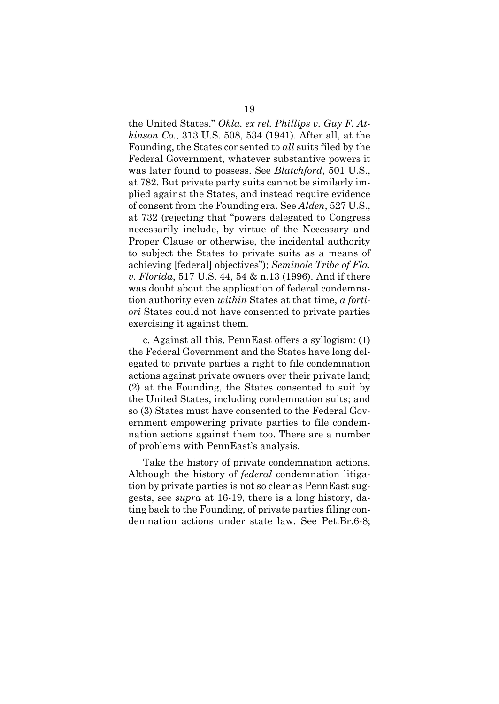the United States." *Okla. ex rel. Phillips v. Guy F. Atkinson Co.*, 313 U.S. 508, 534 (1941). After all, at the Founding, the States consented to *all* suits filed by the Federal Government, whatever substantive powers it was later found to possess. See *Blatchford*, 501 U.S., at 782. But private party suits cannot be similarly implied against the States, and instead require evidence of consent from the Founding era. See *Alden*, 527 U.S., at 732 (rejecting that "powers delegated to Congress necessarily include, by virtue of the Necessary and Proper Clause or otherwise, the incidental authority to subject the States to private suits as a means of achieving [federal] objectives"); *Seminole Tribe of Fla. v. Florida*, 517 U.S. 44, 54 & n.13 (1996). And if there was doubt about the application of federal condemnation authority even *within* States at that time, *a fortiori* States could not have consented to private parties exercising it against them.

c. Against all this, PennEast offers a syllogism: (1) the Federal Government and the States have long delegated to private parties a right to file condemnation actions against private owners over their private land; (2) at the Founding, the States consented to suit by the United States, including condemnation suits; and so (3) States must have consented to the Federal Government empowering private parties to file condemnation actions against them too. There are a number of problems with PennEast's analysis.

Take the history of private condemnation actions. Although the history of *federal* condemnation litigation by private parties is not so clear as PennEast suggests, see *supra* at 16-19, there is a long history, dating back to the Founding, of private parties filing condemnation actions under state law. See Pet.Br.6-8;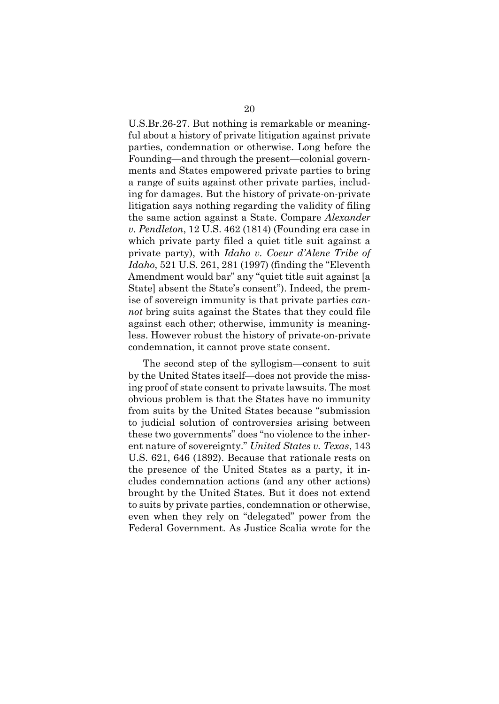U.S.Br.26-27. But nothing is remarkable or meaningful about a history of private litigation against private parties, condemnation or otherwise. Long before the Founding—and through the present—colonial governments and States empowered private parties to bring a range of suits against other private parties, including for damages. But the history of private-on-private litigation says nothing regarding the validity of filing the same action against a State. Compare *Alexander v. Pendleton*, 12 U.S. 462 (1814) (Founding era case in which private party filed a quiet title suit against a private party), with *Idaho v. Coeur d'Alene Tribe of Idaho*, 521 U.S. 261, 281 (1997) (finding the "Eleventh Amendment would bar" any "quiet title suit against [a State] absent the State's consent"). Indeed, the premise of sovereign immunity is that private parties *cannot* bring suits against the States that they could file against each other; otherwise, immunity is meaningless. However robust the history of private-on-private condemnation, it cannot prove state consent.

The second step of the syllogism—consent to suit by the United States itself—does not provide the missing proof of state consent to private lawsuits. The most obvious problem is that the States have no immunity from suits by the United States because "submission to judicial solution of controversies arising between these two governments" does "no violence to the inherent nature of sovereignty." *United States v. Texas*, 143 U.S. 621, 646 (1892). Because that rationale rests on the presence of the United States as a party, it includes condemnation actions (and any other actions) brought by the United States. But it does not extend to suits by private parties, condemnation or otherwise, even when they rely on "delegated" power from the Federal Government. As Justice Scalia wrote for the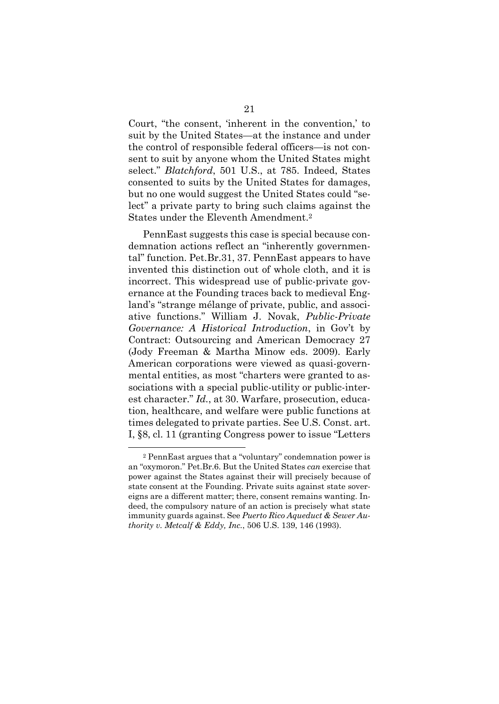Court, "the consent, 'inherent in the convention,' to suit by the United States—at the instance and under the control of responsible federal officers—is not consent to suit by anyone whom the United States might select." *Blatchford*, 501 U.S., at 785. Indeed, States consented to suits by the United States for damages, but no one would suggest the United States could "select" a private party to bring such claims against the States under the Eleventh Amendment.<sup>2</sup>

PennEast suggests this case is special because condemnation actions reflect an "inherently governmental" function. Pet.Br.31, 37. PennEast appears to have invented this distinction out of whole cloth, and it is incorrect. This widespread use of public-private governance at the Founding traces back to medieval England's "strange mélange of private, public, and associative functions." William J. Novak, *Public-Private Governance: A Historical Introduction*, in Gov't by Contract: Outsourcing and American Democracy 27 (Jody Freeman & Martha Minow eds. 2009). Early American corporations were viewed as quasi-governmental entities, as most "charters were granted to associations with a special public-utility or public-interest character." *Id.*, at 30. Warfare, prosecution, education, healthcare, and welfare were public functions at times delegated to private parties. See U.S. Const. art. I, §8, cl. 11 (granting Congress power to issue "Letters

<sup>2</sup> PennEast argues that a "voluntary" condemnation power is an "oxymoron." Pet.Br.6. But the United States *can* exercise that power against the States against their will precisely because of state consent at the Founding. Private suits against state sovereigns are a different matter; there, consent remains wanting. Indeed, the compulsory nature of an action is precisely what state immunity guards against. See *Puerto Rico Aqueduct & Sewer Authority v. Metcalf & Eddy, Inc.*, 506 U.S. 139, 146 (1993).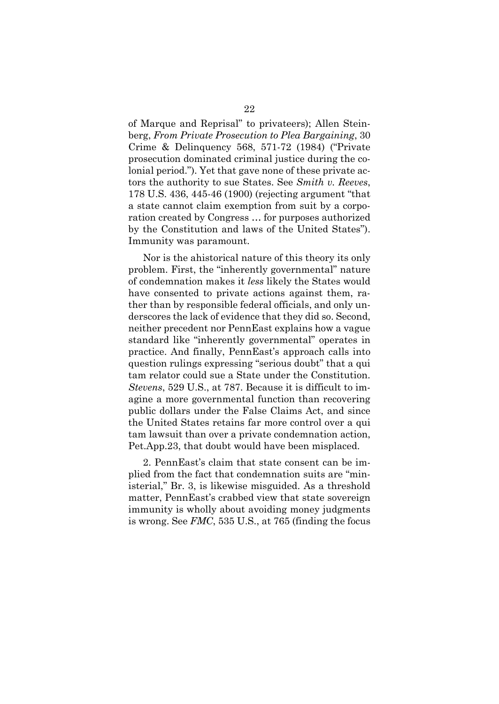of Marque and Reprisal" to privateers); Allen Steinberg, *From Private Prosecution to Plea Bargaining*, 30 Crime & Delinquency 568, 571-72 (1984) ("Private prosecution dominated criminal justice during the colonial period."). Yet that gave none of these private actors the authority to sue States. See *Smith v. Reeves*, 178 U.S. 436, 445-46 (1900) (rejecting argument "that a state cannot claim exemption from suit by a corporation created by Congress … for purposes authorized by the Constitution and laws of the United States"). Immunity was paramount.

Nor is the ahistorical nature of this theory its only problem. First, the "inherently governmental" nature of condemnation makes it *less* likely the States would have consented to private actions against them, rather than by responsible federal officials, and only underscores the lack of evidence that they did so. Second, neither precedent nor PennEast explains how a vague standard like "inherently governmental" operates in practice. And finally, PennEast's approach calls into question rulings expressing "serious doubt" that a qui tam relator could sue a State under the Constitution. *Stevens*, 529 U.S., at 787. Because it is difficult to imagine a more governmental function than recovering public dollars under the False Claims Act, and since the United States retains far more control over a qui tam lawsuit than over a private condemnation action, Pet.App.23, that doubt would have been misplaced.

2. PennEast's claim that state consent can be implied from the fact that condemnation suits are "ministerial," Br. 3, is likewise misguided. As a threshold matter, PennEast's crabbed view that state sovereign immunity is wholly about avoiding money judgments is wrong. See *FMC*, 535 U.S., at 765 (finding the focus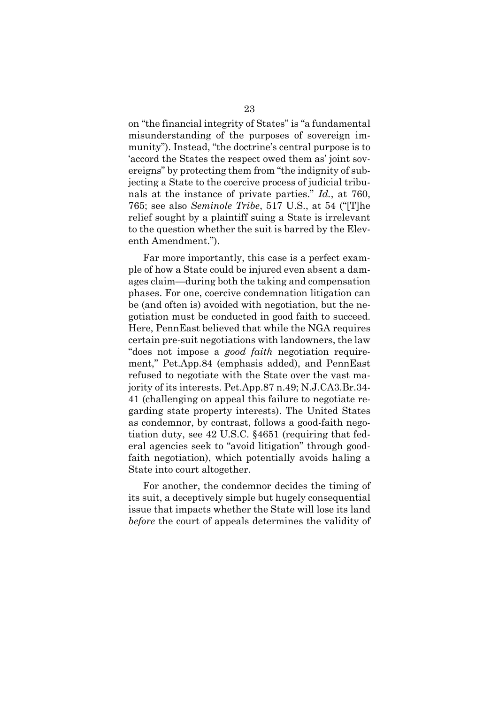on "the financial integrity of States" is "a fundamental misunderstanding of the purposes of sovereign immunity"). Instead, "the doctrine's central purpose is to 'accord the States the respect owed them as' joint sovereigns" by protecting them from "the indignity of subjecting a State to the coercive process of judicial tribunals at the instance of private parties." *Id.*, at 760, 765; see also *Seminole Tribe*, 517 U.S., at 54 ("[T]he relief sought by a plaintiff suing a State is irrelevant to the question whether the suit is barred by the Eleventh Amendment.").

Far more importantly, this case is a perfect example of how a State could be injured even absent a damages claim—during both the taking and compensation phases. For one, coercive condemnation litigation can be (and often is) avoided with negotiation, but the negotiation must be conducted in good faith to succeed. Here, PennEast believed that while the NGA requires certain pre-suit negotiations with landowners, the law "does not impose a *good faith* negotiation requirement," Pet.App.84 (emphasis added), and PennEast refused to negotiate with the State over the vast majority of its interests. Pet.App.87 n.49; N.J.CA3.Br.34- 41 (challenging on appeal this failure to negotiate regarding state property interests). The United States as condemnor, by contrast, follows a good-faith negotiation duty, see 42 U.S.C. §4651 (requiring that federal agencies seek to "avoid litigation" through goodfaith negotiation), which potentially avoids haling a State into court altogether.

For another, the condemnor decides the timing of its suit, a deceptively simple but hugely consequential issue that impacts whether the State will lose its land *before* the court of appeals determines the validity of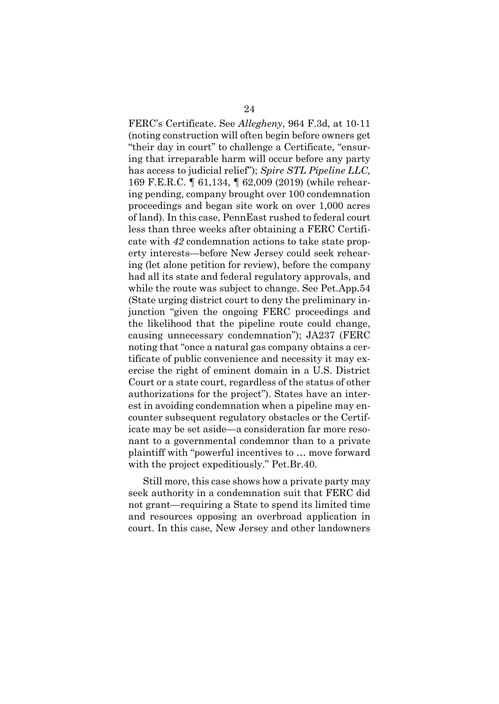FERC's Certificate. See *Allegheny*, 964 F.3d, at 10-11 (noting construction will often begin before owners get "their day in court" to challenge a Certificate, "ensuring that irreparable harm will occur before any party has access to judicial relief"); *Spire STL Pipeline LLC,* 169 F.E.R.C. ¶ 61,134, ¶ 62,009 (2019) (while rehearing pending, company brought over 100 condemnation proceedings and began site work on over 1,000 acres of land). In this case, PennEast rushed to federal court less than three weeks after obtaining a FERC Certificate with *42* condemnation actions to take state property interests—before New Jersey could seek rehearing (let alone petition for review), before the company had all its state and federal regulatory approvals, and while the route was subject to change. See Pet.App.54 (State urging district court to deny the preliminary injunction "given the ongoing FERC proceedings and the likelihood that the pipeline route could change, causing unnecessary condemnation"); JA237 (FERC noting that "once a natural gas company obtains a certificate of public convenience and necessity it may exercise the right of eminent domain in a U.S. District Court or a state court, regardless of the status of other authorizations for the project"). States have an interest in avoiding condemnation when a pipeline may encounter subsequent regulatory obstacles or the Certificate may be set aside—a consideration far more resonant to a governmental condemnor than to a private plaintiff with "powerful incentives to … move forward with the project expeditiously." Pet.Br.40.

Still more, this case shows how a private party may seek authority in a condemnation suit that FERC did not grant—requiring a State to spend its limited time and resources opposing an overbroad application in court. In this case, New Jersey and other landowners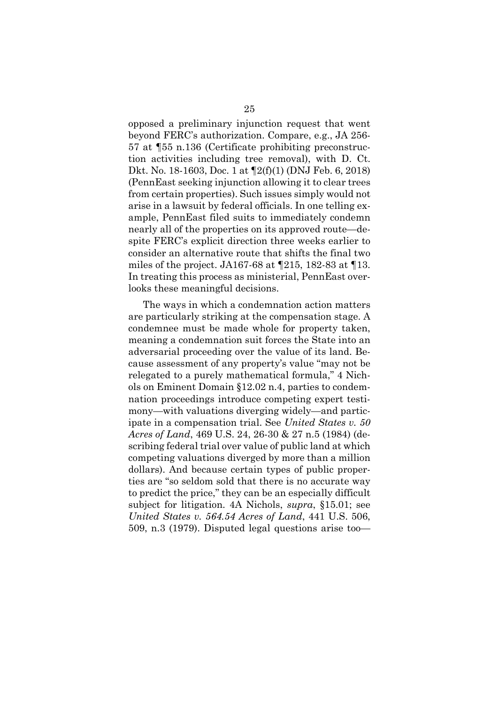opposed a preliminary injunction request that went beyond FERC's authorization. Compare, e.g., JA 256- 57 at ¶55 n.136 (Certificate prohibiting preconstruction activities including tree removal), with D. Ct. Dkt. No. 18-1603, Doc. 1 at ¶2(f)(1) (DNJ Feb. 6, 2018) (PennEast seeking injunction allowing it to clear trees from certain properties). Such issues simply would not arise in a lawsuit by federal officials. In one telling example, PennEast filed suits to immediately condemn nearly all of the properties on its approved route—despite FERC's explicit direction three weeks earlier to consider an alternative route that shifts the final two miles of the project. JA167-68 at ¶215, 182-83 at ¶13. In treating this process as ministerial, PennEast overlooks these meaningful decisions.

The ways in which a condemnation action matters are particularly striking at the compensation stage. A condemnee must be made whole for property taken, meaning a condemnation suit forces the State into an adversarial proceeding over the value of its land. Because assessment of any property's value "may not be relegated to a purely mathematical formula," 4 Nichols on Eminent Domain §12.02 n.4, parties to condemnation proceedings introduce competing expert testimony—with valuations diverging widely—and participate in a compensation trial. See *United States v. 50 Acres of Land*, 469 U.S. 24, 26-30 & 27 n.5 (1984) (describing federal trial over value of public land at which competing valuations diverged by more than a million dollars). And because certain types of public properties are "so seldom sold that there is no accurate way to predict the price," they can be an especially difficult subject for litigation. 4A Nichols, *supra*, §15.01; see *United States v. 564.54 Acres of Land*, 441 U.S. 506, 509, n.3 (1979). Disputed legal questions arise too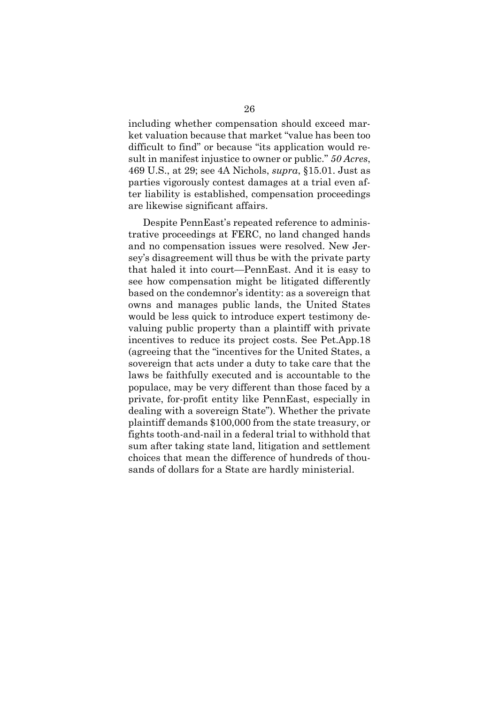including whether compensation should exceed market valuation because that market "value has been too difficult to find" or because "its application would result in manifest injustice to owner or public." *50 Acres*, 469 U.S., at 29; see 4A Nichols, *supra*, §15.01. Just as parties vigorously contest damages at a trial even after liability is established, compensation proceedings are likewise significant affairs.

Despite PennEast's repeated reference to administrative proceedings at FERC, no land changed hands and no compensation issues were resolved. New Jersey's disagreement will thus be with the private party that haled it into court—PennEast. And it is easy to see how compensation might be litigated differently based on the condemnor's identity: as a sovereign that owns and manages public lands, the United States would be less quick to introduce expert testimony devaluing public property than a plaintiff with private incentives to reduce its project costs. See Pet.App.18 (agreeing that the "incentives for the United States, a sovereign that acts under a duty to take care that the laws be faithfully executed and is accountable to the populace, may be very different than those faced by a private, for-profit entity like PennEast, especially in dealing with a sovereign State"). Whether the private plaintiff demands \$100,000 from the state treasury, or fights tooth-and-nail in a federal trial to withhold that sum after taking state land, litigation and settlement choices that mean the difference of hundreds of thousands of dollars for a State are hardly ministerial.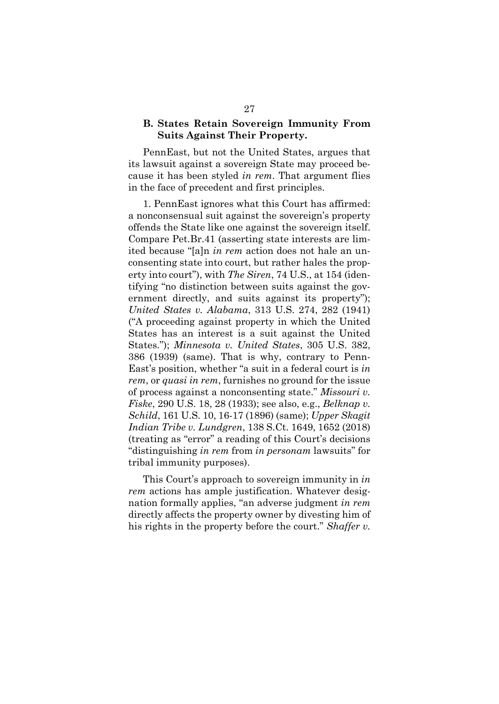#### **B. States Retain Sovereign Immunity From Suits Against Their Property.**

PennEast, but not the United States, argues that its lawsuit against a sovereign State may proceed because it has been styled *in rem*. That argument flies in the face of precedent and first principles.

1. PennEast ignores what this Court has affirmed: a nonconsensual suit against the sovereign's property offends the State like one against the sovereign itself. Compare Pet.Br.41 (asserting state interests are limited because "[a]n *in rem* action does not hale an unconsenting state into court, but rather hales the property into court"), with *The Siren*, 74 U.S., at 154 (identifying "no distinction between suits against the government directly, and suits against its property"); *United States v. Alabama*, 313 U.S. 274, 282 (1941) ("A proceeding against property in which the United States has an interest is a suit against the United States."); *Minnesota v. United States*, 305 U.S. 382, 386 (1939) (same). That is why, contrary to Penn-East's position, whether "a suit in a federal court is *in rem*, or *quasi in rem*, furnishes no ground for the issue of process against a nonconsenting state." *Missouri v. Fiske*, 290 U.S. 18, 28 (1933); see also, e.g., *Belknap v. Schild*, 161 U.S. 10, 16-17 (1896) (same); *Upper Skagit Indian Tribe v. Lundgren*, 138 S.Ct. 1649, 1652 (2018) (treating as "error" a reading of this Court's decisions "distinguishing *in rem* from *in personam* lawsuits" for tribal immunity purposes).

This Court's approach to sovereign immunity in *in rem* actions has ample justification. Whatever designation formally applies, "an adverse judgment *in rem* directly affects the property owner by divesting him of his rights in the property before the court." *Shaffer v.*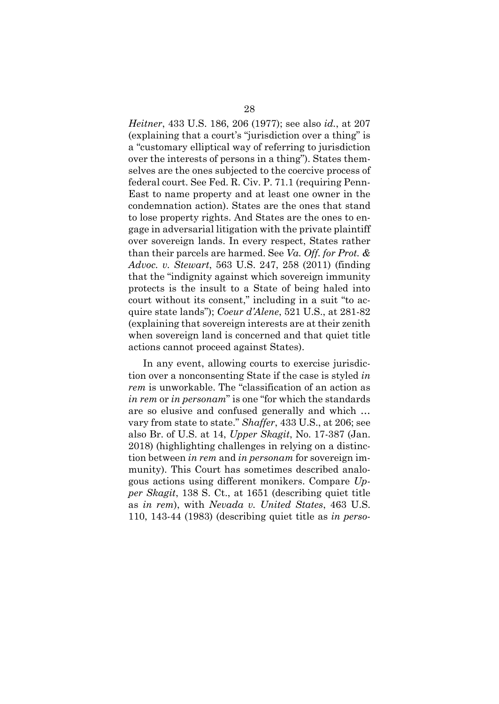*Heitner*, 433 U.S. 186, 206 (1977); see also *id.*, at 207 (explaining that a court's "jurisdiction over a thing" is a "customary elliptical way of referring to jurisdiction over the interests of persons in a thing"). States themselves are the ones subjected to the coercive process of federal court. See Fed. R. Civ. P. 71.1 (requiring Penn-East to name property and at least one owner in the condemnation action). States are the ones that stand to lose property rights. And States are the ones to engage in adversarial litigation with the private plaintiff over sovereign lands. In every respect, States rather than their parcels are harmed. See *Va. Off. for Prot. & Advoc. v. Stewart*, 563 U.S. 247, 258 (2011) (finding that the "indignity against which sovereign immunity protects is the insult to a State of being haled into court without its consent," including in a suit "to acquire state lands"); *Coeur d'Alene*, 521 U.S., at 281-82 (explaining that sovereign interests are at their zenith when sovereign land is concerned and that quiet title actions cannot proceed against States).

In any event, allowing courts to exercise jurisdiction over a nonconsenting State if the case is styled *in rem* is unworkable. The "classification of an action as *in rem* or *in personam*" is one "for which the standards are so elusive and confused generally and which … vary from state to state." *Shaffer*, 433 U.S., at 206; see also Br. of U.S. at 14, *Upper Skagit*, No. 17-387 (Jan. 2018) (highlighting challenges in relying on a distinction between *in rem* and *in personam* for sovereign immunity). This Court has sometimes described analogous actions using different monikers. Compare *Upper Skagit*, 138 S. Ct., at 1651 (describing quiet title as *in rem*), with *Nevada v. United States*, 463 U.S. 110, 143-44 (1983) (describing quiet title as *in perso-*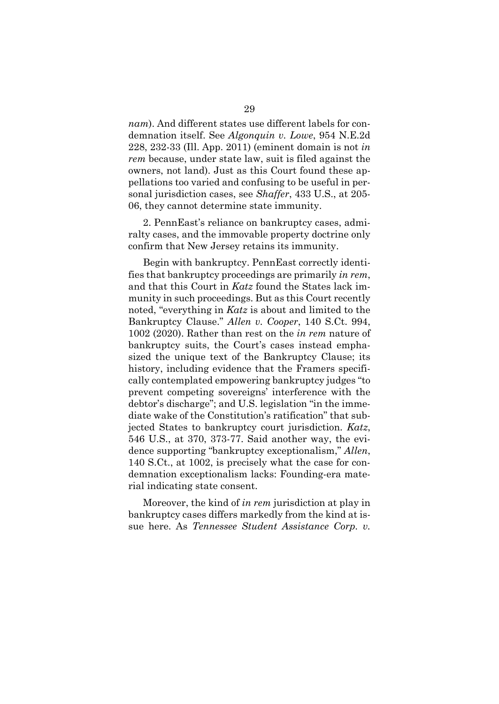*nam*). And different states use different labels for condemnation itself. See *Algonquin v. Lowe*, 954 N.E.2d 228, 232-33 (Ill. App. 2011) (eminent domain is not *in rem* because, under state law, suit is filed against the owners, not land). Just as this Court found these appellations too varied and confusing to be useful in personal jurisdiction cases, see *Shaffer*, 433 U.S., at 205- 06, they cannot determine state immunity.

2. PennEast's reliance on bankruptcy cases, admiralty cases, and the immovable property doctrine only confirm that New Jersey retains its immunity.

Begin with bankruptcy. PennEast correctly identifies that bankruptcy proceedings are primarily *in rem*, and that this Court in *Katz* found the States lack immunity in such proceedings. But as this Court recently noted, "everything in *Katz* is about and limited to the Bankruptcy Clause." *Allen v. Cooper*, 140 S.Ct. 994, 1002 (2020). Rather than rest on the *in rem* nature of bankruptcy suits, the Court's cases instead emphasized the unique text of the Bankruptcy Clause; its history, including evidence that the Framers specifically contemplated empowering bankruptcy judges "to prevent competing sovereigns' interference with the debtor's discharge"; and U.S. legislation "in the immediate wake of the Constitution's ratification" that subjected States to bankruptcy court jurisdiction. *Katz*, 546 U.S., at 370, 373-77. Said another way, the evidence supporting "bankruptcy exceptionalism," *Allen*, 140 S.Ct., at 1002, is precisely what the case for condemnation exceptionalism lacks: Founding-era material indicating state consent.

Moreover, the kind of *in rem* jurisdiction at play in bankruptcy cases differs markedly from the kind at issue here. As *Tennessee Student Assistance Corp. v.*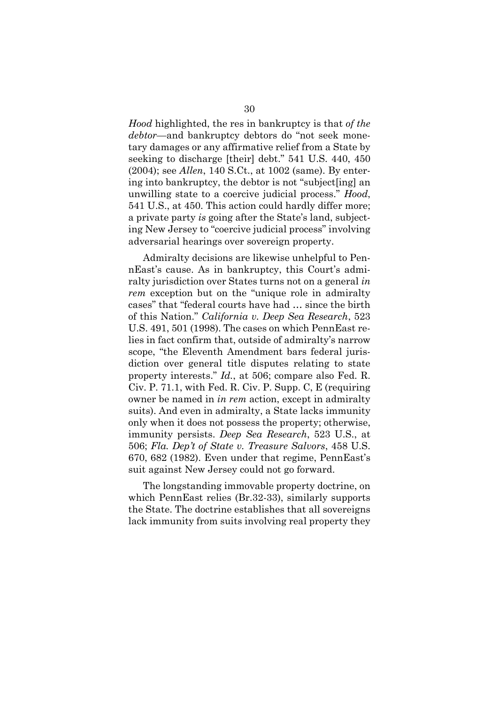*Hood* highlighted, the res in bankruptcy is that *of the debtor*—and bankruptcy debtors do "not seek monetary damages or any affirmative relief from a State by seeking to discharge [their] debt." 541 U.S. 440, 450 (2004); see *Allen*, 140 S.Ct., at 1002 (same). By entering into bankruptcy, the debtor is not "subject[ing] an unwilling state to a coercive judicial process." *Hood*, 541 U.S., at 450. This action could hardly differ more; a private party *is* going after the State's land, subjecting New Jersey to "coercive judicial process" involving adversarial hearings over sovereign property.

Admiralty decisions are likewise unhelpful to PennEast's cause. As in bankruptcy, this Court's admiralty jurisdiction over States turns not on a general *in rem* exception but on the "unique role in admiralty cases" that "federal courts have had … since the birth of this Nation." *California v. Deep Sea Research*, 523 U.S. 491, 501 (1998). The cases on which PennEast relies in fact confirm that, outside of admiralty's narrow scope, "the Eleventh Amendment bars federal jurisdiction over general title disputes relating to state property interests." *Id.*, at 506; compare also Fed. R. Civ. P. 71.1, with Fed. R. Civ. P. Supp. C, E (requiring owner be named in *in rem* action, except in admiralty suits). And even in admiralty, a State lacks immunity only when it does not possess the property; otherwise, immunity persists. *Deep Sea Research*, 523 U.S., at 506; *Fla. Dep't of State v. Treasure Salvors*, 458 U.S. 670, 682 (1982). Even under that regime, PennEast's suit against New Jersey could not go forward.

The longstanding immovable property doctrine, on which PennEast relies (Br.32-33), similarly supports the State. The doctrine establishes that all sovereigns lack immunity from suits involving real property they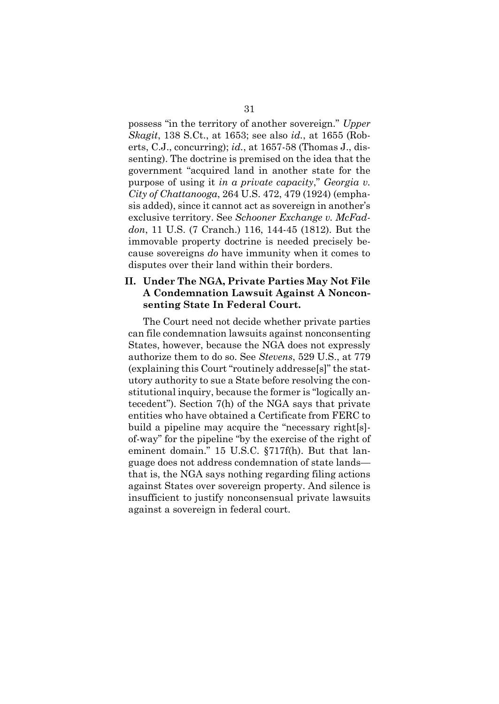possess "in the territory of another sovereign." *Upper Skagit*, 138 S.Ct., at 1653; see also *id.*, at 1655 (Roberts, C.J., concurring); *id.*, at 1657-58 (Thomas J., dissenting). The doctrine is premised on the idea that the government "acquired land in another state for the purpose of using it *in a private capacity*," *Georgia v. City of Chattanooga*, 264 U.S. 472, 479 (1924) (emphasis added), since it cannot act as sovereign in another's exclusive territory. See *Schooner Exchange v. McFaddon*, 11 U.S. (7 Cranch.) 116, 144-45 (1812). But the immovable property doctrine is needed precisely because sovereigns *do* have immunity when it comes to disputes over their land within their borders.

### **II. Under The NGA, Private Parties May Not File A Condemnation Lawsuit Against A Nonconsenting State In Federal Court.**

The Court need not decide whether private parties can file condemnation lawsuits against nonconsenting States, however, because the NGA does not expressly authorize them to do so. See *Stevens*, 529 U.S., at 779 (explaining this Court "routinely addresse[s]" the statutory authority to sue a State before resolving the constitutional inquiry, because the former is "logically antecedent"). Section 7(h) of the NGA says that private entities who have obtained a Certificate from FERC to build a pipeline may acquire the "necessary right[s] of-way" for the pipeline "by the exercise of the right of eminent domain." 15 U.S.C. §717f(h). But that language does not address condemnation of state lands that is, the NGA says nothing regarding filing actions against States over sovereign property. And silence is insufficient to justify nonconsensual private lawsuits against a sovereign in federal court.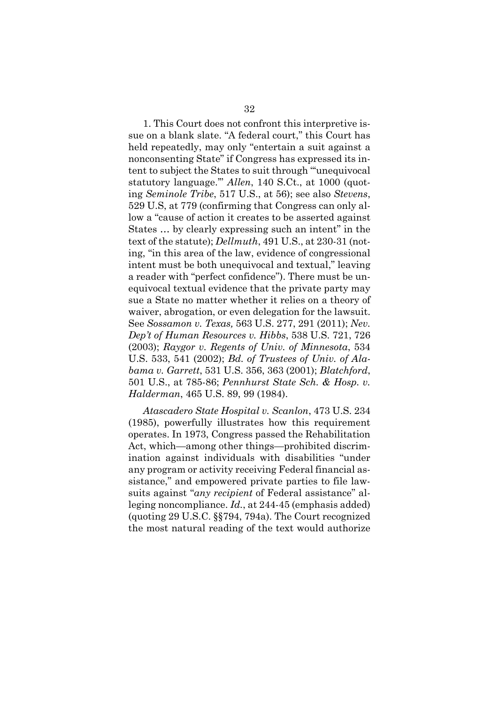1. This Court does not confront this interpretive issue on a blank slate. "A federal court," this Court has held repeatedly, may only "entertain a suit against a nonconsenting State" if Congress has expressed its intent to subject the States to suit through "'unequivocal statutory language.'" *Allen*, 140 S.Ct., at 1000 (quoting *Seminole Tribe*, 517 U.S., at 56); see also *Stevens*, 529 U.S, at 779 (confirming that Congress can only allow a "cause of action it creates to be asserted against States … by clearly expressing such an intent" in the text of the statute); *Dellmuth*, 491 U.S., at 230-31 (noting, "in this area of the law, evidence of congressional intent must be both unequivocal and textual," leaving a reader with "perfect confidence"). There must be unequivocal textual evidence that the private party may sue a State no matter whether it relies on a theory of waiver, abrogation, or even delegation for the lawsuit. See *Sossamon v. Texas,* 563 U.S. 277, 291 (2011); *Nev. Dep't of Human Resources v. Hibbs*, 538 U.S. 721, 726 (2003); *Raygor v. Regents of Univ. of Minnesota*, 534 U.S. 533, 541 (2002); *Bd. of Trustees of Univ. of Alabama v. Garrett*, 531 U.S. 356, 363 (2001); *Blatchford*, 501 U.S., at 785-86; *Pennhurst State Sch. & Hosp. v. Halderman*, 465 U.S. 89, 99 (1984).

*Atascadero State Hospital v. Scanlon*, 473 U.S. 234 (1985), powerfully illustrates how this requirement operates. In 1973, Congress passed the Rehabilitation Act, which—among other things—prohibited discrimination against individuals with disabilities "under any program or activity receiving Federal financial assistance," and empowered private parties to file lawsuits against "*any recipient* of Federal assistance" alleging noncompliance. *Id.*, at 244-45 (emphasis added) (quoting 29 U.S.C. §§794, 794a). The Court recognized the most natural reading of the text would authorize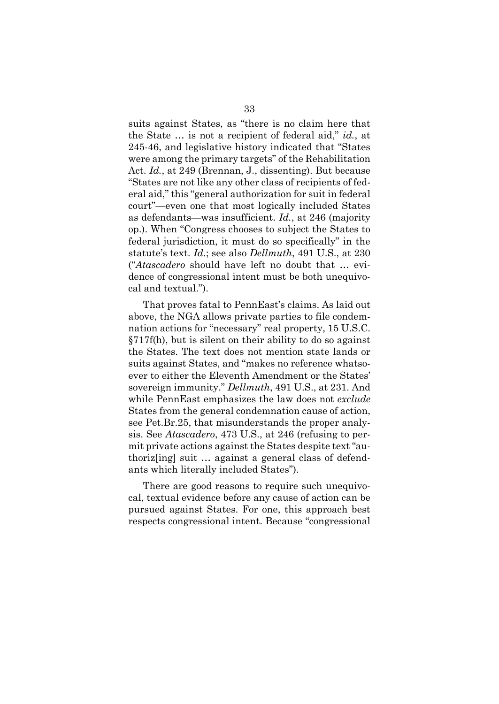suits against States, as "there is no claim here that the State … is not a recipient of federal aid," *id.*, at 245-46, and legislative history indicated that "States were among the primary targets" of the Rehabilitation Act. *Id.*, at 249 (Brennan, J., dissenting). But because "States are not like any other class of recipients of federal aid," this "general authorization for suit in federal court"—even one that most logically included States as defendants—was insufficient. *Id.*, at 246 (majority op.). When "Congress chooses to subject the States to federal jurisdiction, it must do so specifically" in the statute's text. *Id.*; see also *Dellmuth*, 491 U.S., at 230 ("*Atascadero* should have left no doubt that … evidence of congressional intent must be both unequivocal and textual.").

That proves fatal to PennEast's claims. As laid out above, the NGA allows private parties to file condemnation actions for "necessary" real property, 15 U.S.C. §717f(h), but is silent on their ability to do so against the States. The text does not mention state lands or suits against States, and "makes no reference whatsoever to either the Eleventh Amendment or the States' sovereign immunity." *Dellmuth*, 491 U.S., at 231. And while PennEast emphasizes the law does not *exclude* States from the general condemnation cause of action, see Pet.Br.25, that misunderstands the proper analysis. See *Atascadero*, 473 U.S., at 246 (refusing to permit private actions against the States despite text "authoriz[ing] suit … against a general class of defendants which literally included States").

There are good reasons to require such unequivocal, textual evidence before any cause of action can be pursued against States. For one, this approach best respects congressional intent. Because "congressional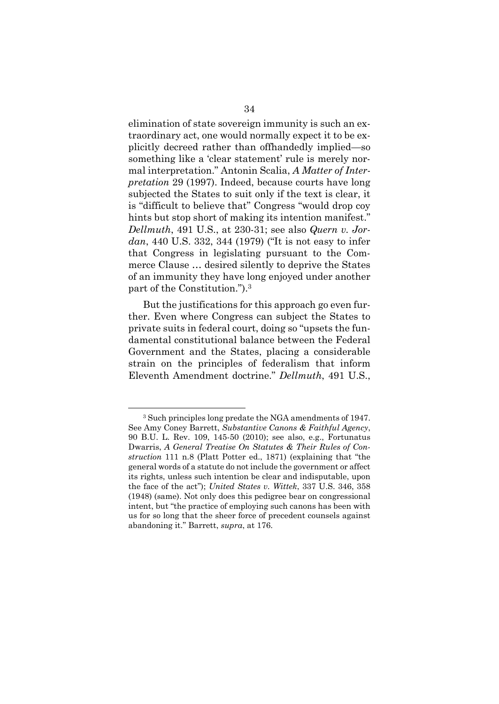elimination of state sovereign immunity is such an extraordinary act, one would normally expect it to be explicitly decreed rather than offhandedly implied—so something like a 'clear statement' rule is merely normal interpretation." Antonin Scalia, *A Matter of Interpretation* 29 (1997). Indeed, because courts have long subjected the States to suit only if the text is clear, it is "difficult to believe that" Congress "would drop coy hints but stop short of making its intention manifest." *Dellmuth*, 491 U.S., at 230-31; see also *Quern v. Jordan*, 440 U.S. 332, 344 (1979) ("It is not easy to infer that Congress in legislating pursuant to the Commerce Clause … desired silently to deprive the States of an immunity they have long enjoyed under another part of the Constitution.").<sup>3</sup>

But the justifications for this approach go even further. Even where Congress can subject the States to private suits in federal court, doing so "upsets the fundamental constitutional balance between the Federal Government and the States, placing a considerable strain on the principles of federalism that inform Eleventh Amendment doctrine." *Dellmuth*, 491 U.S.,

<sup>3</sup> Such principles long predate the NGA amendments of 1947. See Amy Coney Barrett, *Substantive Canons & Faithful Agency*, 90 B.U. L. Rev. 109, 145-50 (2010); see also, e.g., Fortunatus Dwarris, *A General Treatise On Statutes & Their Rules of Construction* 111 n.8 (Platt Potter ed., 1871) (explaining that "the general words of a statute do not include the government or affect its rights, unless such intention be clear and indisputable, upon the face of the act"); *United States v. Wittek*, 337 U.S. 346, 358 (1948) (same). Not only does this pedigree bear on congressional intent, but "the practice of employing such canons has been with us for so long that the sheer force of precedent counsels against abandoning it." Barrett, *supra*, at 176.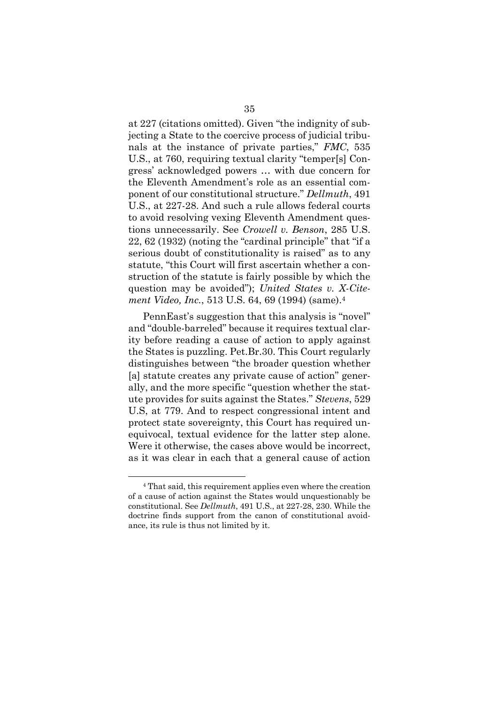at 227 (citations omitted). Given "the indignity of subjecting a State to the coercive process of judicial tribunals at the instance of private parties," *FMC*, 535 U.S., at 760, requiring textual clarity "temper[s] Congress' acknowledged powers … with due concern for the Eleventh Amendment's role as an essential component of our constitutional structure." *Dellmuth*, 491 U.S., at 227-28. And such a rule allows federal courts to avoid resolving vexing Eleventh Amendment questions unnecessarily. See *Crowell v. Benson*, 285 U.S. 22, 62 (1932) (noting the "cardinal principle" that "if a serious doubt of constitutionality is raised" as to any statute, "this Court will first ascertain whether a construction of the statute is fairly possible by which the question may be avoided"); *United States v. X-Citement Video, Inc.*, 513 U.S. 64, 69 (1994) (same). 4

PennEast's suggestion that this analysis is "novel" and "double-barreled" because it requires textual clarity before reading a cause of action to apply against the States is puzzling. Pet.Br.30. This Court regularly distinguishes between "the broader question whether [a] statute creates any private cause of action" generally, and the more specific "question whether the statute provides for suits against the States." *Stevens*, 529 U.S, at 779. And to respect congressional intent and protect state sovereignty, this Court has required unequivocal, textual evidence for the latter step alone. Were it otherwise, the cases above would be incorrect, as it was clear in each that a general cause of action

<sup>4</sup> That said, this requirement applies even where the creation of a cause of action against the States would unquestionably be constitutional. See *Dellmuth*, 491 U.S., at 227-28, 230. While the doctrine finds support from the canon of constitutional avoidance, its rule is thus not limited by it.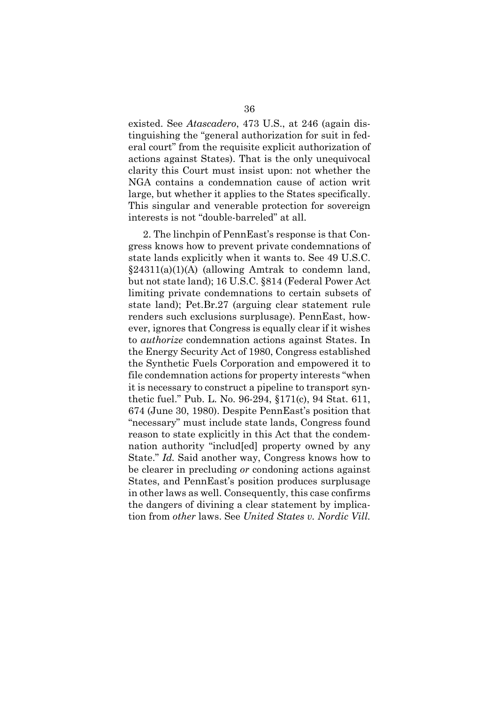existed. See *Atascadero*, 473 U.S., at 246 (again distinguishing the "general authorization for suit in federal court" from the requisite explicit authorization of actions against States). That is the only unequivocal clarity this Court must insist upon: not whether the NGA contains a condemnation cause of action writ large, but whether it applies to the States specifically. This singular and venerable protection for sovereign interests is not "double-barreled" at all.

2. The linchpin of PennEast's response is that Congress knows how to prevent private condemnations of state lands explicitly when it wants to. See 49 U.S.C.  $\S24311(a)(1)(A)$  (allowing Amtrak to condemn land, but not state land); 16 U.S.C. §814 (Federal Power Act limiting private condemnations to certain subsets of state land); Pet.Br.27 (arguing clear statement rule renders such exclusions surplusage). PennEast, however, ignores that Congress is equally clear if it wishes to *authorize* condemnation actions against States. In the Energy Security Act of 1980, Congress established the Synthetic Fuels Corporation and empowered it to file condemnation actions for property interests "when it is necessary to construct a pipeline to transport synthetic fuel." Pub. L. No. 96-294, §171(c), 94 Stat. 611, 674 (June 30, 1980). Despite PennEast's position that "necessary" must include state lands, Congress found reason to state explicitly in this Act that the condemnation authority "includ[ed] property owned by any State." *Id.* Said another way, Congress knows how to be clearer in precluding *or* condoning actions against States, and PennEast's position produces surplusage in other laws as well. Consequently, this case confirms the dangers of divining a clear statement by implication from *other* laws. See *United States v. Nordic Vill.*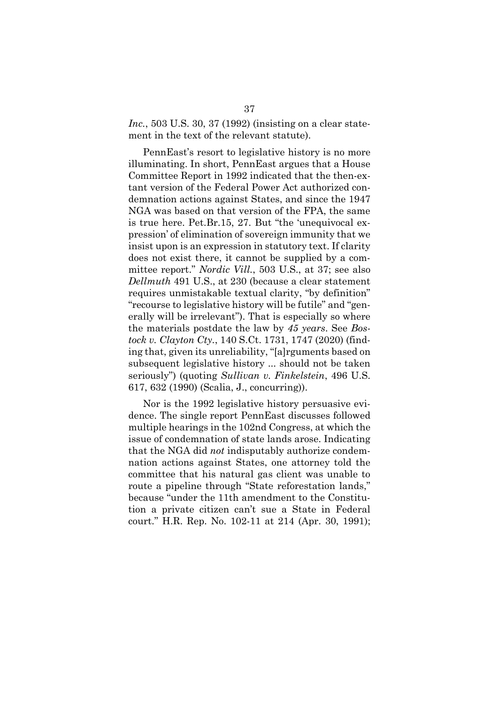*Inc.*, 503 U.S. 30, 37 (1992) (insisting on a clear statement in the text of the relevant statute).

PennEast's resort to legislative history is no more illuminating. In short, PennEast argues that a House Committee Report in 1992 indicated that the then-extant version of the Federal Power Act authorized condemnation actions against States, and since the 1947 NGA was based on that version of the FPA, the same is true here. Pet.Br.15, 27. But "the 'unequivocal expression' of elimination of sovereign immunity that we insist upon is an expression in statutory text. If clarity does not exist there, it cannot be supplied by a committee report." *Nordic Vill.*, 503 U.S., at 37; see also *Dellmuth* 491 U.S., at 230 (because a clear statement requires unmistakable textual clarity, "by definition" "recourse to legislative history will be futile" and "generally will be irrelevant"). That is especially so where the materials postdate the law by *45 years*. See *Bostock v. Clayton Cty.*, 140 S.Ct. 1731, 1747 (2020) (finding that, given its unreliability, "[a]rguments based on subsequent legislative history ... should not be taken seriously") (quoting *Sullivan v. Finkelstein*, 496 U.S. 617, 632 (1990) (Scalia, J., concurring)).

Nor is the 1992 legislative history persuasive evidence. The single report PennEast discusses followed multiple hearings in the 102nd Congress, at which the issue of condemnation of state lands arose. Indicating that the NGA did *not* indisputably authorize condemnation actions against States, one attorney told the committee that his natural gas client was unable to route a pipeline through "State reforestation lands," because "under the 11th amendment to the Constitution a private citizen can't sue a State in Federal court." H.R. Rep. No. 102-11 at 214 (Apr. 30, 1991);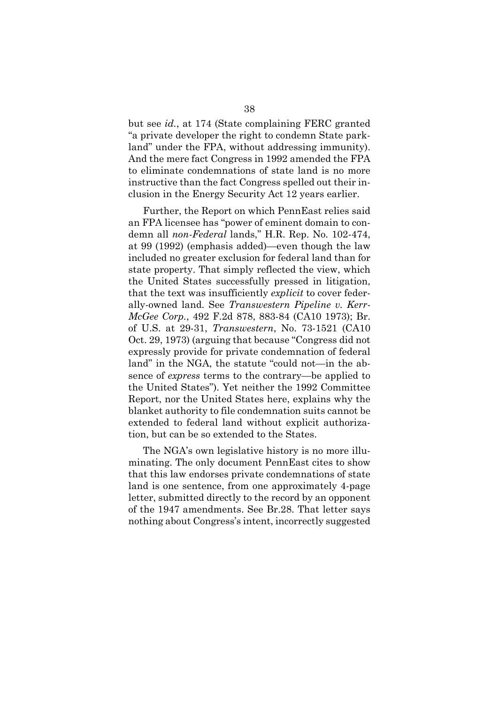but see *id.*, at 174 (State complaining FERC granted "a private developer the right to condemn State parkland" under the FPA, without addressing immunity). And the mere fact Congress in 1992 amended the FPA to eliminate condemnations of state land is no more instructive than the fact Congress spelled out their inclusion in the Energy Security Act 12 years earlier.

Further, the Report on which PennEast relies said an FPA licensee has "power of eminent domain to condemn all *non-Federal* lands," H.R. Rep. No. 102-474, at 99 (1992) (emphasis added)—even though the law included no greater exclusion for federal land than for state property. That simply reflected the view, which the United States successfully pressed in litigation, that the text was insufficiently *explicit* to cover federally-owned land. See *Transwestern Pipeline v. Kerr-McGee Corp.*, 492 F.2d 878, 883-84 (CA10 1973); Br. of U.S. at 29-31, *Transwestern*, No. 73-1521 (CA10 Oct. 29, 1973) (arguing that because "Congress did not expressly provide for private condemnation of federal land" in the NGA, the statute "could not—in the absence of *express* terms to the contrary—be applied to the United States"). Yet neither the 1992 Committee Report, nor the United States here, explains why the blanket authority to file condemnation suits cannot be extended to federal land without explicit authorization, but can be so extended to the States.

The NGA's own legislative history is no more illuminating. The only document PennEast cites to show that this law endorses private condemnations of state land is one sentence, from one approximately 4-page letter, submitted directly to the record by an opponent of the 1947 amendments. See Br.28. That letter says nothing about Congress's intent, incorrectly suggested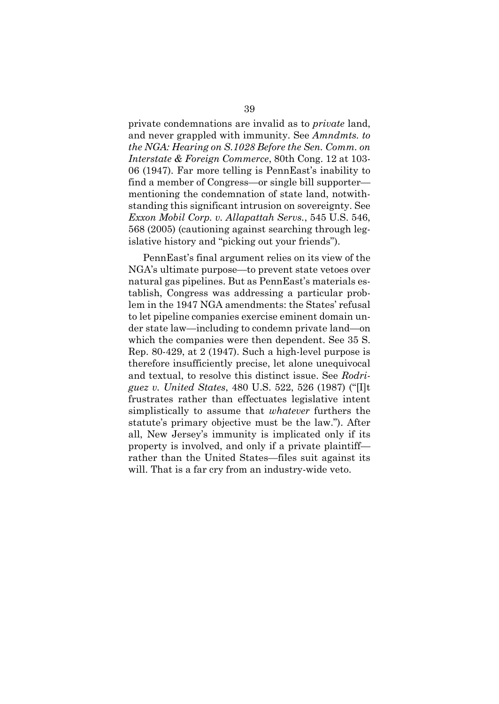private condemnations are invalid as to *private* land, and never grappled with immunity. See *Amndmts. to the NGA: Hearing on S.1028 Before the Sen. Comm. on Interstate & Foreign Commerce*, 80th Cong. 12 at 103- 06 (1947). Far more telling is PennEast's inability to find a member of Congress—or single bill supporter mentioning the condemnation of state land, notwithstanding this significant intrusion on sovereignty. See *Exxon Mobil Corp. v. Allapattah Servs.*, 545 U.S. 546, 568 (2005) (cautioning against searching through legislative history and "picking out your friends").

PennEast's final argument relies on its view of the NGA's ultimate purpose—to prevent state vetoes over natural gas pipelines. But as PennEast's materials establish, Congress was addressing a particular problem in the 1947 NGA amendments: the States' refusal to let pipeline companies exercise eminent domain under state law—including to condemn private land—on which the companies were then dependent. See 35 S. Rep. 80-429, at 2 (1947). Such a high-level purpose is therefore insufficiently precise, let alone unequivocal and textual, to resolve this distinct issue. See *Rodriguez v. United States*, 480 U.S. 522, 526 (1987) ("[I]t frustrates rather than effectuates legislative intent simplistically to assume that *whatever* furthers the statute's primary objective must be the law."). After all, New Jersey's immunity is implicated only if its property is involved, and only if a private plaintiff rather than the United States—files suit against its will. That is a far cry from an industry-wide veto.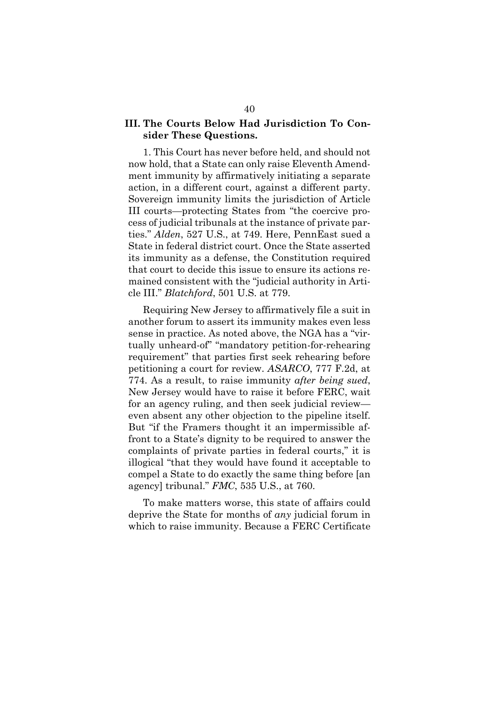### **III. The Courts Below Had Jurisdiction To Consider These Questions.**

1. This Court has never before held, and should not now hold, that a State can only raise Eleventh Amendment immunity by affirmatively initiating a separate action, in a different court, against a different party. Sovereign immunity limits the jurisdiction of Article III courts—protecting States from "the coercive process of judicial tribunals at the instance of private parties." *Alden*, 527 U.S., at 749. Here, PennEast sued a State in federal district court. Once the State asserted its immunity as a defense, the Constitution required that court to decide this issue to ensure its actions remained consistent with the "judicial authority in Article III." *Blatchford*, 501 U.S. at 779.

Requiring New Jersey to affirmatively file a suit in another forum to assert its immunity makes even less sense in practice. As noted above, the NGA has a "virtually unheard-of" "mandatory petition-for-rehearing requirement" that parties first seek rehearing before petitioning a court for review. *ASARCO*, 777 F.2d, at 774. As a result, to raise immunity *after being sued*, New Jersey would have to raise it before FERC, wait for an agency ruling, and then seek judicial review even absent any other objection to the pipeline itself. But "if the Framers thought it an impermissible affront to a State's dignity to be required to answer the complaints of private parties in federal courts," it is illogical "that they would have found it acceptable to compel a State to do exactly the same thing before [an agency] tribunal." *FMC*, 535 U.S., at 760.

To make matters worse, this state of affairs could deprive the State for months of *any* judicial forum in which to raise immunity. Because a FERC Certificate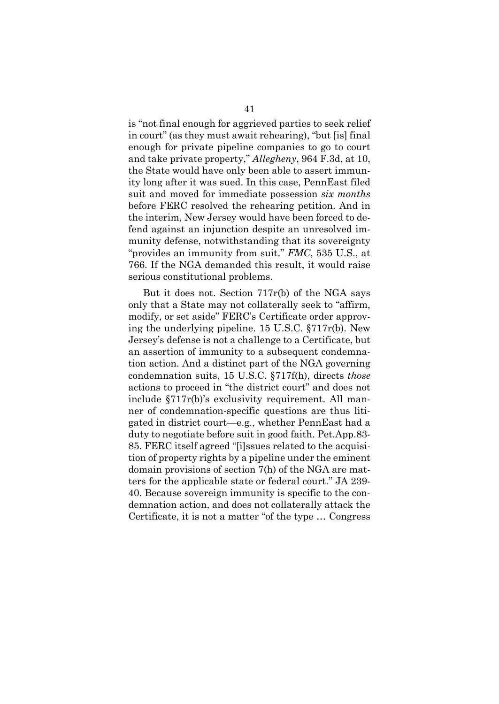is "not final enough for aggrieved parties to seek relief in court" (as they must await rehearing), "but [is] final enough for private pipeline companies to go to court and take private property," *Allegheny*, 964 F.3d, at 10, the State would have only been able to assert immunity long after it was sued. In this case, PennEast filed suit and moved for immediate possession *six months* before FERC resolved the rehearing petition. And in the interim, New Jersey would have been forced to defend against an injunction despite an unresolved immunity defense, notwithstanding that its sovereignty "provides an immunity from suit." *FMC*, 535 U.S., at 766. If the NGA demanded this result, it would raise serious constitutional problems.

But it does not. Section 717r(b) of the NGA says only that a State may not collaterally seek to "affirm, modify, or set aside" FERC's Certificate order approving the underlying pipeline. 15 U.S.C. §717r(b). New Jersey's defense is not a challenge to a Certificate, but an assertion of immunity to a subsequent condemnation action. And a distinct part of the NGA governing condemnation suits, 15 U.S.C. §717f(h), directs *those* actions to proceed in "the district court" and does not include §717r(b)'s exclusivity requirement. All manner of condemnation-specific questions are thus litigated in district court—e.g., whether PennEast had a duty to negotiate before suit in good faith. Pet.App.83- 85. FERC itself agreed "[i]ssues related to the acquisition of property rights by a pipeline under the eminent domain provisions of section 7(h) of the NGA are matters for the applicable state or federal court." JA 239- 40. Because sovereign immunity is specific to the condemnation action, and does not collaterally attack the Certificate, it is not a matter "of the type … Congress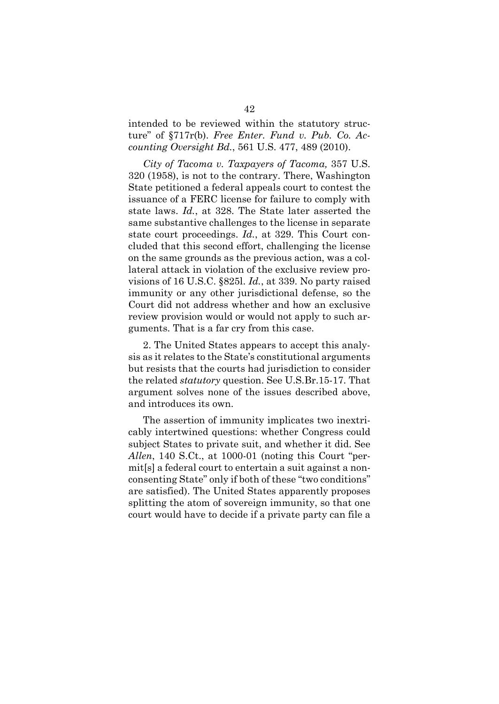intended to be reviewed within the statutory structure" of §717r(b). *Free Enter. Fund v. Pub. Co. Accounting Oversight Bd.*, 561 U.S. 477, 489 (2010).

*City of Tacoma v. Taxpayers of Tacoma,* 357 U.S. 320 (1958), is not to the contrary. There, Washington State petitioned a federal appeals court to contest the issuance of a FERC license for failure to comply with state laws. *Id.*, at 328. The State later asserted the same substantive challenges to the license in separate state court proceedings. *Id.*, at 329. This Court concluded that this second effort, challenging the license on the same grounds as the previous action, was a collateral attack in violation of the exclusive review provisions of 16 U.S.C. §825l. *Id.*, at 339. No party raised immunity or any other jurisdictional defense, so the Court did not address whether and how an exclusive review provision would or would not apply to such arguments. That is a far cry from this case.

2. The United States appears to accept this analysis as it relates to the State's constitutional arguments but resists that the courts had jurisdiction to consider the related *statutory* question. See U.S.Br.15-17. That argument solves none of the issues described above, and introduces its own.

The assertion of immunity implicates two inextricably intertwined questions: whether Congress could subject States to private suit, and whether it did. See *Allen*, 140 S.Ct., at 1000-01 (noting this Court "permit[s] a federal court to entertain a suit against a nonconsenting State" only if both of these "two conditions" are satisfied). The United States apparently proposes splitting the atom of sovereign immunity, so that one court would have to decide if a private party can file a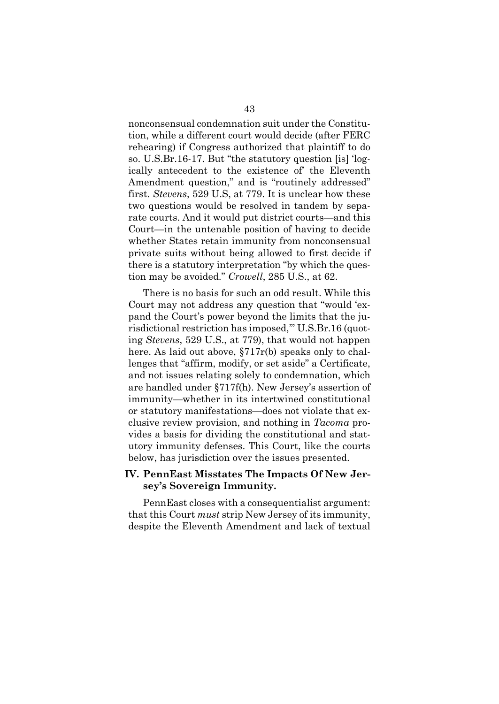nonconsensual condemnation suit under the Constitution, while a different court would decide (after FERC rehearing) if Congress authorized that plaintiff to do so. U.S.Br.16-17. But "the statutory question [is] 'logically antecedent to the existence of' the Eleventh Amendment question," and is "routinely addressed" first. *Stevens*, 529 U.S, at 779. It is unclear how these two questions would be resolved in tandem by separate courts. And it would put district courts—and this Court—in the untenable position of having to decide whether States retain immunity from nonconsensual private suits without being allowed to first decide if there is a statutory interpretation "by which the question may be avoided." *Crowell*, 285 U.S., at 62.

There is no basis for such an odd result. While this Court may not address any question that "would 'expand the Court's power beyond the limits that the jurisdictional restriction has imposed,'" U.S.Br.16 (quoting *Stevens*, 529 U.S., at 779), that would not happen here. As laid out above, §717r(b) speaks only to challenges that "affirm, modify, or set aside" a Certificate, and not issues relating solely to condemnation, which are handled under §717f(h). New Jersey's assertion of immunity—whether in its intertwined constitutional or statutory manifestations—does not violate that exclusive review provision, and nothing in *Tacoma* provides a basis for dividing the constitutional and statutory immunity defenses. This Court, like the courts below, has jurisdiction over the issues presented.

#### **IV. PennEast Misstates The Impacts Of New Jersey's Sovereign Immunity.**

PennEast closes with a consequentialist argument: that this Court *must* strip New Jersey of its immunity, despite the Eleventh Amendment and lack of textual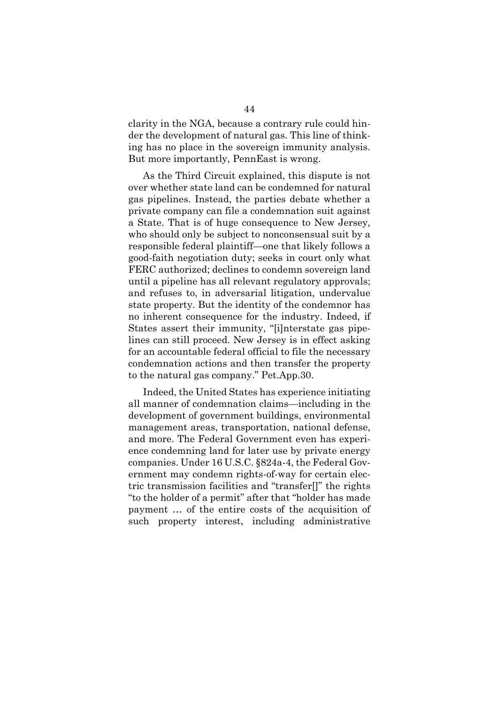clarity in the NGA, because a contrary rule could hinder the development of natural gas. This line of thinking has no place in the sovereign immunity analysis. But more importantly, PennEast is wrong.

As the Third Circuit explained, this dispute is not over whether state land can be condemned for natural gas pipelines. Instead, the parties debate whether a private company can file a condemnation suit against a State. That is of huge consequence to New Jersey, who should only be subject to nonconsensual suit by a responsible federal plaintiff—one that likely follows a good-faith negotiation duty; seeks in court only what FERC authorized; declines to condemn sovereign land until a pipeline has all relevant regulatory approvals; and refuses to, in adversarial litigation, undervalue state property. But the identity of the condemnor has no inherent consequence for the industry. Indeed, if States assert their immunity, "[i]nterstate gas pipelines can still proceed. New Jersey is in effect asking for an accountable federal official to file the necessary condemnation actions and then transfer the property to the natural gas company." Pet.App.30.

Indeed, the United States has experience initiating all manner of condemnation claims—including in the development of government buildings, environmental management areas, transportation, national defense, and more. The Federal Government even has experience condemning land for later use by private energy companies. Under 16 U.S.C. §824a-4, the Federal Government may condemn rights-of-way for certain electric transmission facilities and "transfer[]" the rights "to the holder of a permit" after that "holder has made payment … of the entire costs of the acquisition of such property interest, including administrative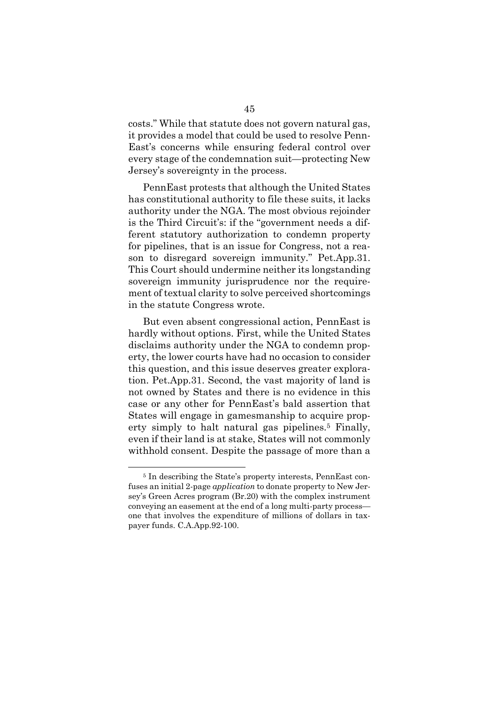costs." While that statute does not govern natural gas, it provides a model that could be used to resolve Penn-East's concerns while ensuring federal control over every stage of the condemnation suit—protecting New Jersey's sovereignty in the process.

PennEast protests that although the United States has constitutional authority to file these suits, it lacks authority under the NGA. The most obvious rejoinder is the Third Circuit's: if the "government needs a different statutory authorization to condemn property for pipelines, that is an issue for Congress, not a reason to disregard sovereign immunity." Pet.App.31. This Court should undermine neither its longstanding sovereign immunity jurisprudence nor the requirement of textual clarity to solve perceived shortcomings in the statute Congress wrote.

But even absent congressional action, PennEast is hardly without options. First, while the United States disclaims authority under the NGA to condemn property, the lower courts have had no occasion to consider this question, and this issue deserves greater exploration. Pet.App.31. Second, the vast majority of land is not owned by States and there is no evidence in this case or any other for PennEast's bald assertion that States will engage in gamesmanship to acquire property simply to halt natural gas pipelines.<sup>5</sup> Finally, even if their land is at stake, States will not commonly withhold consent. Despite the passage of more than a

<sup>5</sup> In describing the State's property interests, PennEast confuses an initial 2-page *application* to donate property to New Jersey's Green Acres program (Br.20) with the complex instrument conveying an easement at the end of a long multi-party process one that involves the expenditure of millions of dollars in taxpayer funds. C.A.App.92-100.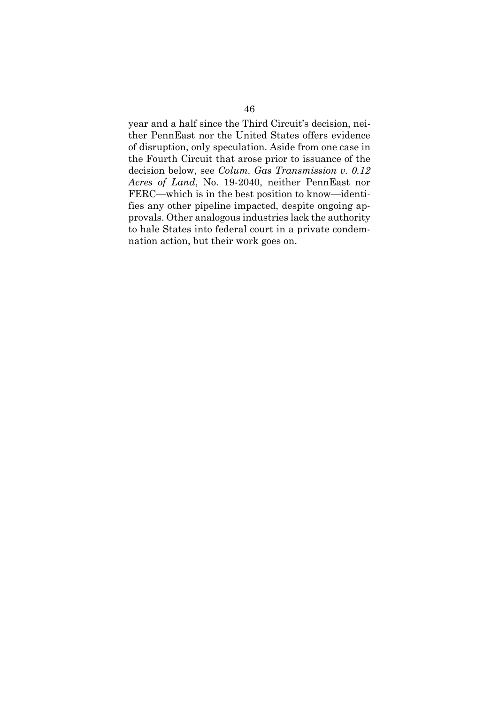year and a half since the Third Circuit's decision, neither PennEast nor the United States offers evidence of disruption, only speculation. Aside from one case in the Fourth Circuit that arose prior to issuance of the decision below, see *Colum. Gas Transmission v. 0.12 Acres of Land*, No. 19-2040, neither PennEast nor FERC—which is in the best position to know—identifies any other pipeline impacted, despite ongoing approvals. Other analogous industries lack the authority to hale States into federal court in a private condemnation action, but their work goes on.